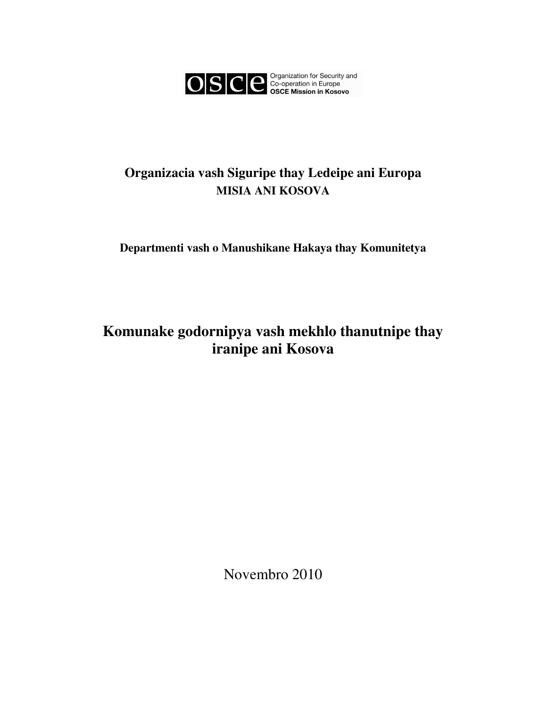

# **Organizacia vash Siguripe thay Ledeipe ani Europa MISIA ANI KOSOVA**

**Departmenti vash o Manushikane Hakaya thay Komunitetya** 

# **Komunake godornipya vash mekhlo thanutnipe thay iranipe ani Kosova**

Novembro 2010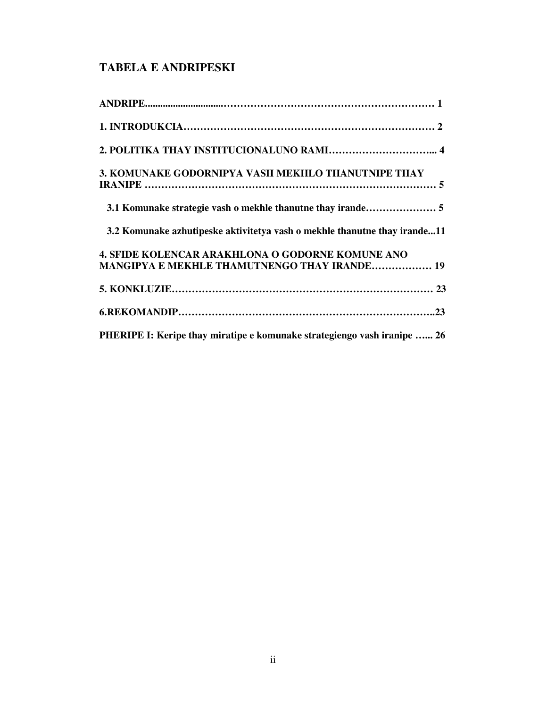# **TABELA E ANDRIPESKI**

| 3. KOMUNAKE GODORNIPYA VASH MEKHLO THANUTNIPE THAY                                                      |
|---------------------------------------------------------------------------------------------------------|
|                                                                                                         |
| 3.2 Komunake azhutipeske aktivitetya vash o mekhle thanutne thay irande11                               |
| 4. SFIDE KOLENCAR ARAKHLONA O GODORNE KOMUNE ANO<br><b>MANGIPYA E MEKHLE THAMUTNENGO THAY IRANDE 19</b> |
|                                                                                                         |
|                                                                                                         |
| PHERIPE I: Keripe thay miratipe e komunake strategiengo vash iranipe  26                                |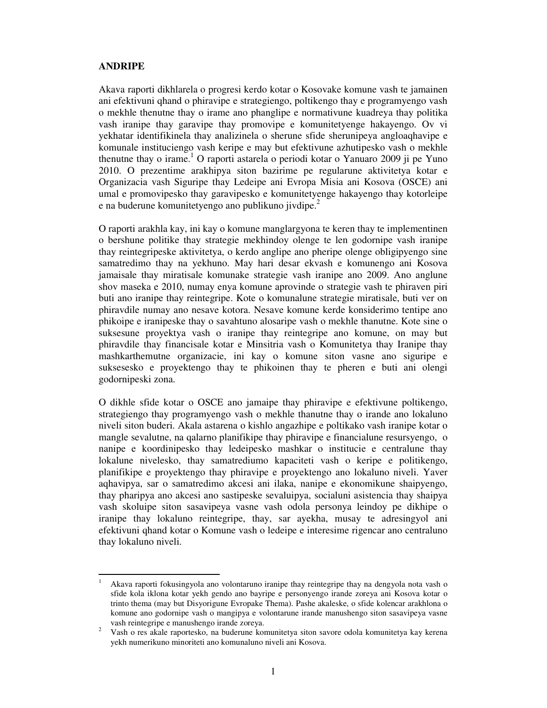# **ANDRIPE**

-

Akava raporti dikhlarela o progresi kerdo kotar o Kosovake komune vash te jamainen ani efektivuni qhand o phiravipe e strategiengo, poltikengo thay e programyengo vash o mekhle thenutne thay o irame ano phanglipe e normativune kuadreya thay politika vash iranipe thay garavipe thay promovipe e komunitetyenge hakayengo. Ov vi yekhatar identifikinela thay analizinela o sherune sfide sherunipeya angloaqhavipe e komunale instituciengo vash keripe e may but efektivune azhutipesko vash o mekhle thenutne thay o irame.<sup>1</sup> O raporti astarela o periodi kotar o Yanuaro 2009 ji pe Yuno 2010. O prezentime arakhipya siton bazirime pe regularune aktivitetya kotar e Organizacia vash Siguripe thay Ledeipe ani Evropa Misia ani Kosova (OSCE) ani umal e promovipesko thay garavipesko e komunitetyenge hakayengo thay kotorleipe e na buderune komunitetyengo ano publikuno jivdipe.<sup>2</sup>

O raporti arakhla kay, ini kay o komune manglargyona te keren thay te implementinen o bershune politike thay strategie mekhindoy olenge te len godornipe vash iranipe thay reintegripeske aktivitetya, o kerdo anglipe ano pheripe olenge obligipyengo sine samatredimo thay na yekhuno. May hari desar ekvash e komunengo ani Kosova jamaisale thay miratisale komunake strategie vash iranipe ano 2009. Ano anglune shov maseka e 2010, numay enya komune aprovinde o strategie vash te phiraven piri buti ano iranipe thay reintegripe. Kote o komunalune strategie miratisale, buti ver on phiravdile numay ano nesave kotora. Nesave komune kerde konsiderimo tentipe ano phikoipe e iranipeske thay o savahtuno alosaripe vash o mekhle thanutne. Kote sine o suksesune proyektya vash o iranipe thay reintegripe ano komune, on may but phiravdile thay financisale kotar e Minsitria vash o Komunitetya thay Iranipe thay mashkarthemutne organizacie, ini kay o komune siton vasne ano siguripe e suksesesko e proyektengo thay te phikoinen thay te pheren e buti ani olengi godornipeski zona.

O dikhle sfide kotar o OSCE ano jamaipe thay phiravipe e efektivune poltikengo, strategiengo thay programyengo vash o mekhle thanutne thay o irande ano lokaluno niveli siton buderi. Akala astarena o kishlo angazhipe e poltikako vash iranipe kotar o mangle sevalutne, na qalarno planifikipe thay phiravipe e financialune resursyengo, o nanipe e koordinipesko thay ledeipesko mashkar o institucie e centralune thay lokalune nivelesko, thay samatrediumo kapaciteti vash o keripe e politikengo, planifikipe e proyektengo thay phiravipe e proyektengo ano lokaluno niveli. Yaver aqhavipya, sar o samatredimo akcesi ani ilaka, nanipe e ekonomikune shaipyengo, thay pharipya ano akcesi ano sastipeske sevaluipya, socialuni asistencia thay shaipya vash skoluipe siton sasavipeya vasne vash odola personya leindoy pe dikhipe o iranipe thay lokaluno reintegripe, thay, sar ayekha, musay te adresingyol ani efektivuni qhand kotar o Komune vash o ledeipe e interesime rigencar ano centraluno thay lokaluno niveli.

<sup>1</sup> Akava raporti fokusingyola ano volontaruno iranipe thay reintegripe thay na dengyola nota vash o sfide kola iklona kotar yekh gendo ano bayripe e personyengo irande zoreya ani Kosova kotar o trinto thema (may but Disyorigune Evropake Thema). Pashe akaleske, o sfide kolencar arakhlona o komune ano godornipe vash o mangipya e volontarune irande manushengo siton sasavipeya vasne vash reintegripe e manushengo irande zoreya.

<sup>2</sup> Vash o res akale raportesko, na buderune komunitetya siton savore odola komunitetya kay kerena yekh numerikuno minoriteti ano komunaluno niveli ani Kosova.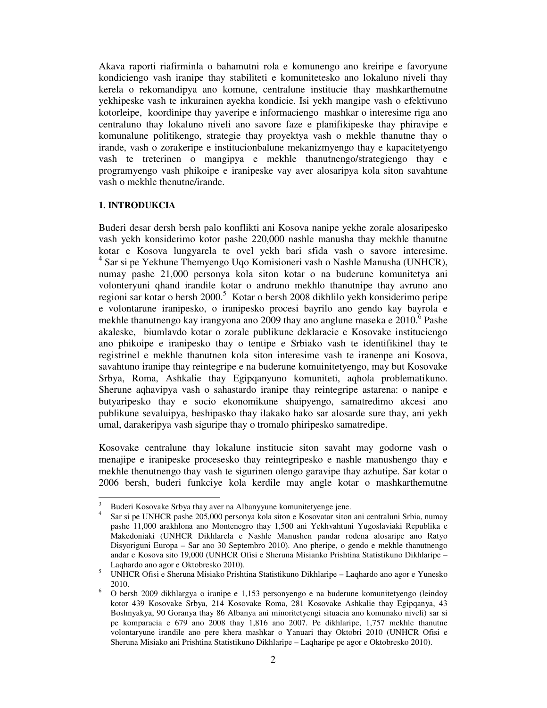Akava raporti riafirminla o bahamutni rola e komunengo ano kreiripe e favoryune kondiciengo vash iranipe thay stabiliteti e komunitetesko ano lokaluno niveli thay kerela o rekomandipya ano komune, centralune institucie thay mashkarthemutne yekhipeske vash te inkurainen ayekha kondicie. Isi yekh mangipe vash o efektivuno kotorleipe, koordinipe thay yaveripe e informaciengo mashkar o interesime riga ano centraluno thay lokaluno niveli ano savore faze e planifikipeske thay phiravipe e komunalune politikengo, strategie thay proyektya vash o mekhle thanutne thay o irande, vash o zorakeripe e institucionbalune mekanizmyengo thay e kapacitetyengo vash te treterinen o mangipya e mekhle thanutnengo/strategiengo thay e programyengo vash phikoipe e iranipeske vay aver alosaripya kola siton savahtune vash o mekhle thenutne/irande.

#### **1. INTRODUKCIA**

-

Buderi desar dersh bersh palo konflikti ani Kosova nanipe yekhe zorale alosaripesko vash yekh konsiderimo kotor pashe 220,000 nashle manusha thay mekhle thanutne kotar e Kosova lungyarela te ovel yekh bari sfida vash o savore interesime. 4 Sar si pe Yekhune Themyengo Uqo Komisioneri vash o Nashle Manusha (UNHCR), numay pashe 21,000 personya kola siton kotar o na buderune komunitetya ani volonteryuni qhand irandile kotar o andruno mekhlo thanutnipe thay avruno ano regioni sar kotar o bersh 2000.<sup>5</sup> Kotar o bersh 2008 dikhlilo yekh konsiderimo peripe e volontarune iranipesko, o iranipesko procesi bayrilo ano gendo kay bayrola e mekhle thanutnengo kay irangyona ano 2009 thay ano anglune maseka e  $2010$ <sup>6</sup> Pashe akaleske, biumlavdo kotar o zorale publikune deklaracie e Kosovake instituciengo ano phikoipe e iranipesko thay o tentipe e Srbiako vash te identifikinel thay te registrinel e mekhle thanutnen kola siton interesime vash te iranenpe ani Kosova, savahtuno iranipe thay reintegripe e na buderune komuinitetyengo, may but Kosovake Srbya, Roma, Ashkalie thay Egipqanyuno komuniteti, aqhola problematikuno. Sherune aqhavipya vash o sahastardo iranipe thay reintegripe astarena: o nanipe e butyaripesko thay e socio ekonomikune shaipyengo, samatredimo akcesi ano publikune sevaluipya, beshipasko thay ilakako hako sar alosarde sure thay, ani yekh umal, darakeripya vash siguripe thay o tromalo phiripesko samatredipe.

Kosovake centralune thay lokalune institucie siton savaht may godorne vash o menajipe e iranipeske procesesko thay reintegripesko e nashle manushengo thay e mekhle thenutnengo thay vash te sigurinen olengo garavipe thay azhutipe. Sar kotar o 2006 bersh, buderi funkciye kola kerdile may angle kotar o mashkarthemutne

<sup>3</sup> Buderi Kosovake Srbya thay aver na Albanyyune komunitetyenge jene.

<sup>4</sup> Sar si pe UNHCR pashe 205,000 personya kola siton e Kosovatar siton ani centraluni Srbia, numay pashe 11,000 arakhlona ano Montenegro thay 1,500 ani Yekhvahtuni Yugoslaviaki Republika e Makedoniaki (UNHCR Dikhlarela e Nashle Manushen pandar rodena alosaripe ano Ratyo Disyoriguni Europa – Sar ano 30 Septembro 2010). Ano pheripe, o gendo e mekhle thanutnengo andar e Kosova sito 19,000 (UNHCR Ofisi e Sheruna Misianko Prishtina Statistikuno Dikhlaripe – Laqhardo ano agor e Oktobresko 2010).

<sup>5</sup> UNHCR Ofisi e Sheruna Misiako Prishtina Statistikuno Dikhlaripe – Laqhardo ano agor e Yunesko 2010.

<sup>6</sup> O bersh 2009 dikhlargya o iranipe e 1,153 personyengo e na buderune komunitetyengo (leindoy kotor 439 Kosovake Srbya, 214 Kosovake Roma, 281 Kosovake Ashkalie thay Egipqanya, 43 Boshnyakya, 90 Goranya thay 86 Albanya ani minoritetyengi situacia ano komunako niveli) sar si pe komparacia e 679 ano 2008 thay 1,816 ano 2007. Pe dikhlaripe, 1,757 mekhle thanutne volontaryune irandile ano pere khera mashkar o Yanuari thay Oktobri 2010 (UNHCR Ofisi e Sheruna Misiako ani Prishtina Statistikuno Dikhlaripe – Laqharipe pe agor e Oktobresko 2010).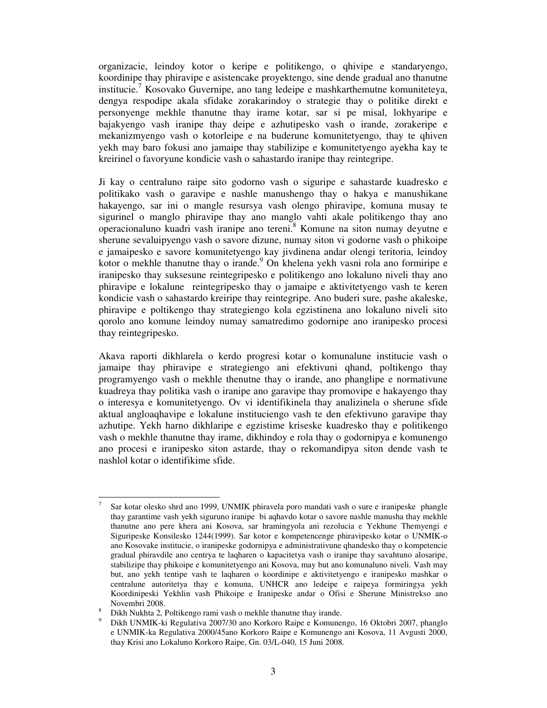organizacie, leindoy kotor o keripe e politikengo, o qhivipe e standaryengo, koordinipe thay phiravipe e asistencake proyektengo, sine dende gradual ano thanutne institucie.<sup>7</sup> Kosovako Guvernipe, ano tang ledeipe e mashkarthemutne komuniteteya, dengya respodipe akala sfidake zorakarindoy o strategie thay o politike direkt e personyenge mekhle thanutne thay irame kotar, sar si pe misal, lokhyaripe e bajakyengo vash iranipe thay deipe e azhutipesko vash o irande, zorakeripe e mekanizmyengo vash o kotorleipe e na buderune komunitetyengo, thay te qhiven yekh may baro fokusi ano jamaipe thay stabilizipe e komunitetyengo ayekha kay te kreirinel o favoryune kondicie vash o sahastardo iranipe thay reintegripe.

Ji kay o centraluno raipe sito godorno vash o siguripe e sahastarde kuadresko e politikako vash o garavipe e nashle manushengo thay o hakya e manushikane hakayengo, sar ini o mangle resursya vash olengo phiravipe, komuna musay te sigurinel o manglo phiravipe thay ano manglo vahti akale politikengo thay ano operacionaluno kuadri vash iranipe ano tereni.<sup>8</sup> Komune na siton numay deyutne e sherune sevaluipyengo vash o savore dizune, numay siton vi godorne vash o phikoipe e jamaipesko e savore komunitetyengo kay jivdinena andar olengi teritoria, leindoy kotor o mekhle thanutne thay o irande.<sup>9</sup> On khelena yekh vasni rola ano formiripe e iranipesko thay suksesune reintegripesko e politikengo ano lokaluno niveli thay ano phiravipe e lokalune reintegripesko thay o jamaipe e aktivitetyengo vash te keren kondicie vash o sahastardo kreiripe thay reintegripe. Ano buderi sure, pashe akaleske, phiravipe e poltikengo thay strategiengo kola egzistinena ano lokaluno niveli sito qorolo ano komune leindoy numay samatredimo godornipe ano iranipesko procesi thay reintegripesko.

Akava raporti dikhlarela o kerdo progresi kotar o komunalune institucie vash o jamaipe thay phiravipe e strategiengo ani efektivuni qhand, poltikengo thay programyengo vash o mekhle thenutne thay o irande, ano phanglipe e normativune kuadreya thay politika vash o iranipe ano garavipe thay promovipe e hakayengo thay o interesya e komunitetyengo. Ov vi identifikinela thay analizinela o sherune sfide aktual angloaqhavipe e lokalune instituciengo vash te den efektivuno garavipe thay azhutipe. Yekh harno dikhlaripe e egzistime kriseske kuadresko thay e politikengo vash o mekhle thanutne thay irame, dikhindoy e rola thay o godornipya e komunengo ano procesi e iranipesko siton astarde, thay o rekomandipya siton dende vash te nashlol kotar o identifikime sfide.

<sup>-</sup>7 Sar kotar olesko shrd ano 1999, UNMIK phiravela poro mandati vash o sure e iranipeske phangle thay garantime vash yekh siguruno iranipe bi aqhavdo kotar o savore nashle manusha thay mekhle thanutne ano pere khera ani Kosova, sar hramingyola ani rezolucia e Yekhune Themyengi e Siguripeske Konsilesko 1244(1999). Sar kotor e kompetencenge phiravipesko kotar o UNMIK-o ano Kosovake institucie, o iranipeske godornipya e administrativune qhandesko thay o kompetencie gradual phiravdile ano centrya te laqharen o kapacitetya vash o iranipe thay savahtuno alosaripe, stabilizipe thay phikoipe e komunitetyengo ani Kosova, may but ano komunaluno niveli. Vash may but, ano yekh tentipe vash te laqharen o koordinipe e aktivitetyengo e iranipesko mashkar o centralune autoritetya thay e komuna, UNHCR ano ledeipe e raipeya formiringya yekh Koordinipeski Yekhlin vash Phikoipe e Iranipeske andar o Ofisi e Sherune Ministrekso ano Novembri 2008.

<sup>&</sup>lt;sup>8</sup> Dikh Nukhta 2, Poltikengo rami vash o mekhle thanutne thay irande.

<sup>9</sup>Dikh UNMIK-ki Regulativa 2007/30 ano Korkoro Raipe e Komunengo, 16 Oktobri 2007, phanglo e UNMIK-ka Regulativa 2000/45ano Korkoro Raipe e Komunengo ani Kosova, 11 Avgusti 2000, thay Krisi ano Lokaluno Korkoro Raipe, Gn. 03/L-040, 15 Juni 2008.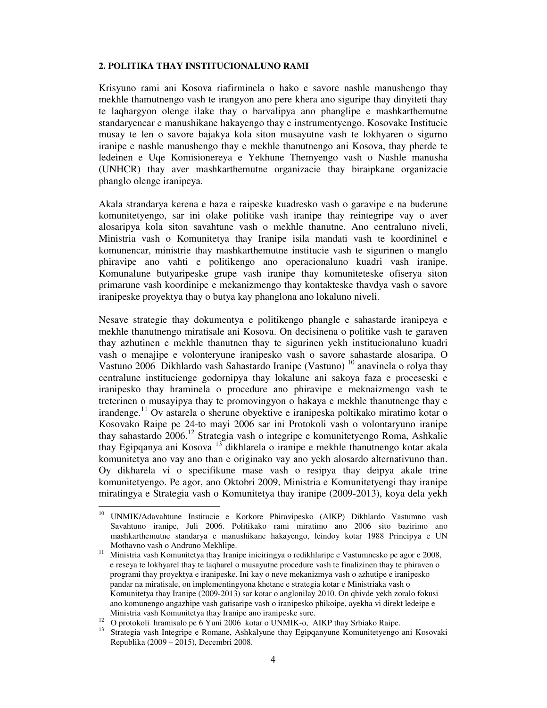#### **2. POLITIKA THAY INSTITUCIONALUNO RAMI**

Krisyuno rami ani Kosova riafirminela o hako e savore nashle manushengo thay mekhle thamutnengo vash te irangyon ano pere khera ano siguripe thay dinyiteti thay te laqhargyon olenge ilake thay o barvalipya ano phanglipe e mashkarthemutne standaryencar e manushikane hakayengo thay e instrumentyengo. Kosovake Institucie musay te len o savore bajakya kola siton musayutne vash te lokhyaren o sigurno iranipe e nashle manushengo thay e mekhle thanutnengo ani Kosova, thay pherde te ledeinen e Uqe Komisionereya e Yekhune Themyengo vash o Nashle manusha (UNHCR) thay aver mashkarthemutne organizacie thay biraipkane organizacie phanglo olenge iranipeya.

Akala strandarya kerena e baza e raipeske kuadresko vash o garavipe e na buderune komunitetyengo, sar ini olake politike vash iranipe thay reintegripe vay o aver alosaripya kola siton savahtune vash o mekhle thanutne. Ano centraluno niveli, Ministria vash o Komunitetya thay Iranipe isila mandati vash te koordininel e komunencar, ministrie thay mashkarthemutne institucie vash te sigurinen o manglo phiravipe ano vahti e politikengo ano operacionaluno kuadri vash iranipe. Komunalune butyaripeske grupe vash iranipe thay komuniteteske ofiserya siton primarune vash koordinipe e mekanizmengo thay kontakteske thavdya vash o savore iranipeske proyektya thay o butya kay phanglona ano lokaluno niveli.

Nesave strategie thay dokumentya e politikengo phangle e sahastarde iranipeya e mekhle thanutnengo miratisale ani Kosova. On decisinena o politike vash te garaven thay azhutinen e mekhle thanutnen thay te sigurinen yekh institucionaluno kuadri vash o menajipe e volonteryune iranipesko vash o savore sahastarde alosaripa. O Vastuno 2006 Dikhlardo vash Sahastardo Iranipe (Vastuno) <sup>10</sup> anavinela o rolya thay centralune institucienge godornipya thay lokalune ani sakoya faza e proceseski e iranipesko thay hraminela o procedure ano phiravipe e meknaizmengo vash te treterinen o musayipya thay te promovingyon o hakaya e mekhle thanutnenge thay e irandenge.<sup>11</sup> Ov astarela o sherune obyektive e iranipeska poltikako miratimo kotar o Kosovako Raipe pe 24-to mayi 2006 sar ini Protokoli vash o volontaryuno iranipe thay sahastardo 2006.<sup>12</sup> Strategia vash o integripe e komunitetyengo Roma, Ashkalie thay Egipqanya ani Kosova <sup>13</sup> dikhlarela o iranipe e mekhle thanutnengo kotar akala komunitetya ano vay ano than e originako vay ano yekh alosardo alternativuno than. Oy dikharela vi o specifikune mase vash o resipya thay deipya akale trine komunitetyengo. Pe agor, ano Oktobri 2009, Ministria e Komunitetyengi thay iranipe miratingya e Strategia vash o Komunitetya thay iranipe (2009-2013), koya dela yekh

<sup>10</sup> <sup>10</sup>UNMIK/Adavahtune Institucie e Korkore Phiravipesko (AIKP) Dikhlardo Vastumno vash Savahtuno iranipe, Juli 2006. Politikako rami miratimo ano 2006 sito bazirimo ano mashkarthemutne standarya e manushikane hakayengo, leindoy kotar 1988 Principya e UN Mothavno vash o Andruno Mekhlipe.

<sup>&</sup>lt;sup>11</sup> Ministria vash Komunitetya thay Iranipe iniciringya o redikhlaripe e Vastumnesko pe agor e 2008, e reseya te lokhyarel thay te laqharel o musayutne procedure vash te finalizinen thay te phiraven o programi thay proyektya e iranipeske. Ini kay o neve mekanizmya vash o azhutipe e iranipesko pandar na miratisale, on implementingyona khetane e strategia kotar e Ministriaka vash o Komunitetya thay Iranipe (2009-2013) sar kotar o anglonilay 2010. On qhivde yekh zoralo fokusi ano komunengo angazhipe vash gatisaripe vash o iranipesko phikoipe, ayekha vi direkt ledeipe e Ministria vash Komunitetya thay Iranipe ano iranipeske sure.

<sup>&</sup>lt;sup>12</sup> O protokoli hramisalo pe 6 Yuni 2006 kotar o UNMIK-o, AIKP thay Srbiako Raipe.

<sup>&</sup>lt;sup>13</sup> Strategia vash Integripe e Romane, Ashkalyune thay Egipqanyune Komunitetyengo ani Kosovaki Republika (2009 – 2015), Decembri 2008.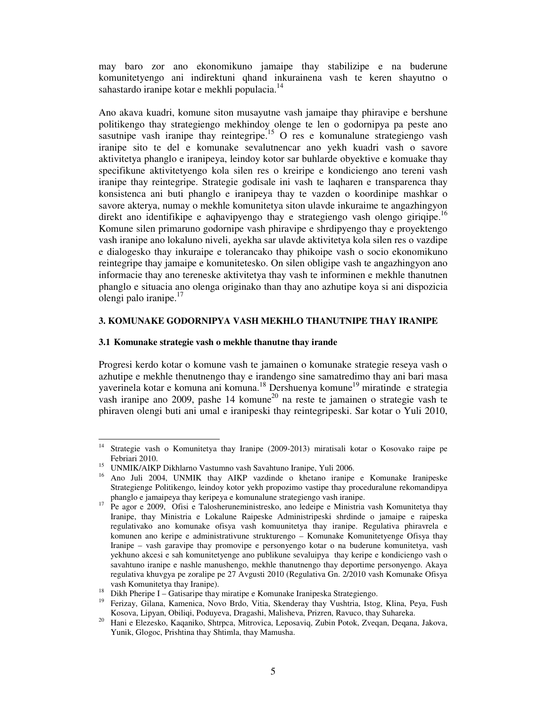may baro zor ano ekonomikuno jamaipe thay stabilizipe e na buderune komunitetyengo ani indirektuni qhand inkurainena vash te keren shayutno o sahastardo iranipe kotar e mekhli populacia.<sup>14</sup>

Ano akava kuadri, komune siton musayutne vash jamaipe thay phiravipe e bershune politikengo thay strategiengo mekhindoy olenge te len o godornipya pa peste ano sasutnipe vash iranipe thay reintegripe.<sup>15</sup> O res e komunalune strategiengo vash iranipe sito te del e komunake sevalutnencar ano yekh kuadri vash o savore aktivitetya phanglo e iranipeya, leindoy kotor sar buhlarde obyektive e komuake thay specifikune aktivitetyengo kola silen res o kreiripe e kondiciengo ano tereni vash iranipe thay reintegripe. Strategie godisale ini vash te laqharen e transparenca thay konsistenca ani buti phanglo e iranipeya thay te vazden o koordinipe mashkar o savore akterya, numay o mekhle komunitetya siton ulavde inkuraime te angazhingyon direkt ano identifikipe e aghavipyengo thay e strategiengo vash olengo giriqipe.<sup>16</sup> Komune silen primaruno godornipe vash phiravipe e shrdipyengo thay e proyektengo vash iranipe ano lokaluno niveli, ayekha sar ulavde aktivitetya kola silen res o vazdipe e dialogesko thay inkuraipe e tolerancako thay phikoipe vash o socio ekonomikuno reintegripe thay jamaipe e komunitetesko. On silen obligipe vash te angazhingyon ano informacie thay ano tereneske aktivitetya thay vash te informinen e mekhle thanutnen phanglo e situacia ano olenga originako than thay ano azhutipe koya si ani dispozicia olengi palo iranipe. $17$ 

### **3. KOMUNAKE GODORNIPYA VASH MEKHLO THANUTNIPE THAY IRANIPE**

### **3.1 Komunake strategie vash o mekhle thanutne thay irande**

Progresi kerdo kotar o komune vash te jamainen o komunake strategie reseya vash o azhutipe e mekhle thenutnengo thay e irandengo sine samatredimo thay ani bari masa yaverinela kotar e komuna ani komuna.<sup>18</sup> Dershuenya komune<sup>19</sup> miratinde e strategia vash iranipe ano 2009, pashe 14 komune<sup>20</sup> na reste te jamainen o strategie vash te phiraven olengi buti ani umal e iranipeski thay reintegripeski. Sar kotar o Yuli 2010,

 $14$ <sup>14</sup> Strategie vash o Komunitetya thay Iranipe (2009-2013) miratisali kotar o Kosovako raipe pe Febriari 2010.

<sup>&</sup>lt;sup>15</sup> UNMIK/AIKP Dikhlarno Vastumno vash Savahtuno Iranipe, Yuli 2006.

<sup>16</sup>Ano Juli 2004, UNMIK thay AIKP vazdinde o khetano iranipe e Komunake Iranipeske Strategienge Politikengo, leindoy kotor yekh propozimo vastipe thay proceduralune rekomandipya phanglo e jamaipeya thay keripeya e komunalune strategiengo vash iranipe.

<sup>&</sup>lt;sup>17</sup> Pe agor e 2009, Ofisi e Talosheruneministresko, ano ledeipe e Ministria vash Komunitetya thay Iranipe, thay Ministria e Lokalune Raipeske Administripeski shrdinde o jamaipe e raipeska regulativako ano komunake ofisya vash komuunitetya thay iranipe. Regulativa phiravrela e komunen ano keripe e administrativune strukturengo – Komunake Komunitetyenge Ofisya thay Iranipe – vash garavipe thay promovipe e personyengo kotar o na buderune komunitetya, vash yekhuno akcesi e sah komunitetyenge ano publikune sevaluipya thay keripe e kondiciengo vash o savahtuno iranipe e nashle manushengo, mekhle thanutnengo thay deportime personyengo. Akaya regulativa khuvgya pe zoralipe pe 27 Avgusti 2010 (Regulativa Gn. 2/2010 vash Komunake Ofisya vash Komunitetya thay Iranipe).

<sup>18</sup> Dikh Pheripe I – Gatisaripe thay miratipe e Komunake Iranipeska Strategiengo.

<sup>&</sup>lt;sup>19</sup> Ferizay, Gilana, Kamenica, Novo Brdo, Vitia, Skenderay thay Vushtria, Istog, Klina, Peya, Fush Kosova, Lipyan, Obiliqi, Poduyeva, Dragashi, Malisheva, Prizren, Ravuco, thay Suhareka.

<sup>20</sup> Hani e Elezesko, Kaqaniko, Shtrpca, Mitrovica, Leposaviq, Zubin Potok, Zveqan, Deqana, Jakova, Yunik, Glogoc, Prishtina thay Shtimla, thay Mamusha.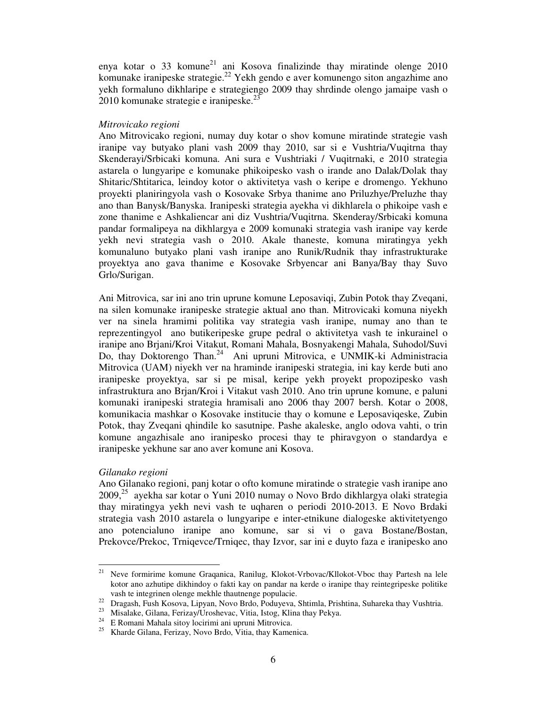enya kotar o 33 komune<sup>21</sup> ani Kosova finalizinde thay miratinde olenge 2010 komunake iranipeske strategie.<sup>22</sup> Yekh gendo e aver komunengo siton angazhime ano yekh formaluno dikhlaripe e strategiengo 2009 thay shrdinde olengo jamaipe vash o  $2010$  komunake strategie e iranipeske. $23$ 

#### *Mitrovicako regioni*

Ano Mitrovicako regioni, numay duy kotar o shov komune miratinde strategie vash iranipe vay butyako plani vash 2009 thay 2010, sar si e Vushtria/Vuqitrna thay Skenderayi/Srbicaki komuna. Ani sura e Vushtriaki / Vuqitrnaki, e 2010 strategia astarela o lungyaripe e komunake phikoipesko vash o irande ano Dalak/Dolak thay Shitaric/Shtitarica, leindoy kotor o aktivitetya vash o keripe e dromengo. Yekhuno proyekti planiringyola vash o Kosovake Srbya thanime ano Priluzhye/Preluzhe thay ano than Banysk/Banyska. Iranipeski strategia ayekha vi dikhlarela o phikoipe vash e zone thanime e Ashkaliencar ani diz Vushtria/Vuqitrna. Skenderay/Srbicaki komuna pandar formalipeya na dikhlargya e 2009 komunaki strategia vash iranipe vay kerde yekh nevi strategia vash o 2010. Akale thaneste, komuna miratingya yekh komunaluno butyako plani vash iranipe ano Runik/Rudnik thay infrastrukturake proyektya ano gava thanime e Kosovake Srbyencar ani Banya/Bay thay Suvo Grlo/Surigan.

Ani Mitrovica, sar ini ano trin uprune komune Leposaviqi, Zubin Potok thay Zveqani, na silen komunake iranipeske strategie aktual ano than. Mitrovicaki komuna niyekh ver na sinela hramimi politika vay strategia vash iranipe, numay ano than te reprezentingyol ano butikeripeske grupe pedral o aktivitetya vash te inkurainel o iranipe ano Brjani/Kroi Vitakut, Romani Mahala, Bosnyakengi Mahala, Suhodol/Suvi Do, thay Doktorengo Than.<sup>24</sup> Ani upruni Mitrovica, e UNMIK-ki Administracia Mitrovica (UAM) niyekh ver na hraminde iranipeski strategia, ini kay kerde buti ano iranipeske proyektya, sar si pe misal, keripe yekh proyekt propozipesko vash infrastruktura ano Brjan/Kroi i Vitakut vash 2010. Ano trin uprune komune, e paluni komunaki iranipeski strategia hramisali ano 2006 thay 2007 bersh. Kotar o 2008, komunikacia mashkar o Kosovake institucie thay o komune e Leposaviqeske, Zubin Potok, thay Zveqani qhindile ko sasutnipe. Pashe akaleske, anglo odova vahti, o trin komune angazhisale ano iranipesko procesi thay te phiravgyon o standardya e iranipeske yekhune sar ano aver komune ani Kosova.

# *Gilanako regioni*

Ano Gilanako regioni, panj kotar o ofto komune miratinde o strategie vash iranipe ano  $2009<sup>25</sup>$  ayekha sar kotar o Yuni 2010 numay o Novo Brdo dikhlargya olaki strategia thay miratingya yekh nevi vash te uqharen o periodi 2010-2013. E Novo Brdaki strategia vash 2010 astarela o lungyaripe e inter-etnikune dialogeske aktivitetyengo ano potencialuno iranipe ano komune, sar si vi o gava Bostane/Bostan, Prekovce/Prekoc, Trniqevce/Trniqec, thay Izvor, sar ini e duyto faza e iranipesko ano

 $21$ <sup>21</sup> Neve formirime komune Graqanica, Ranilug, Klokot-Vrbovac/Kllokot-Vboc thay Partesh na lele kotor ano azhutipe dikhindoy o fakti kay on pandar na kerde o iranipe thay reintegripeske politike vash te integrinen olenge mekhle thautnenge populacie.

<sup>&</sup>lt;sup>22</sup> Dragash, Fush Kosova, Lipyan, Novo Brdo, Poduyeva, Shtimla, Prishtina, Suhareka thay Vushtria.

<sup>23</sup> Misalake, Gilana, Ferizay/Uroshevac, Vitia, Istog, Klina thay Pekya.

<sup>24</sup> E Romani Mahala sitoy locirimi ani upruni Mitrovica.

<sup>25</sup> Kharde Gilana, Ferizay, Novo Brdo, Vitia, thay Kamenica.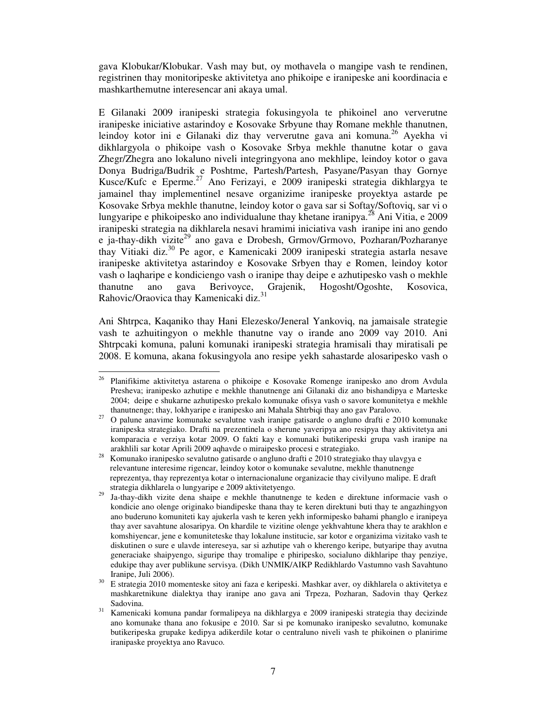gava Klobukar/Klobukar. Vash may but, oy mothavela o mangipe vash te rendinen, registrinen thay monitoripeske aktivitetya ano phikoipe e iranipeske ani koordinacia e mashkarthemutne interesencar ani akaya umal.

E Gilanaki 2009 iranipeski strategia fokusingyola te phikoinel ano ververutne iranipeske iniciative astarindoy e Kosovake Srbyune thay Romane mekhle thanutnen, leindoy kotor ini e Gilanaki diz thay ververutne gava ani komuna.<sup>26</sup> Ayekha vi dikhlargyola o phikoipe vash o Kosovake Srbya mekhle thanutne kotar o gava Zhegr/Zhegra ano lokaluno niveli integringyona ano mekhlipe, leindoy kotor o gava Donya Budriga/Budrik e Poshtme, Partesh/Partesh, Pasyane/Pasyan thay Gornye Kusce/Kufc e Eperme.<sup>27</sup> Ano Ferizayi, e 2009 iranipeski strategia dikhlargya te jamainel thay implementinel nesave organizime iranipeske proyektya astarde pe Kosovake Srbya mekhle thanutne, leindoy kotor o gava sar si Softay/Softoviq, sar vi o lungyaripe e phikoipesko ano individualune thay khetane iranipya.<sup>28</sup> Ani Vitia, e 2009 iranipeski strategia na dikhlarela nesavi hramimi iniciativa vash iranipe ini ano gendo e ja-thay-dikh vizite<sup>29</sup> ano gava e Drobesh, Grmov/Grmovo, Pozharan/Pozharanye thay Vitiaki diz.<sup>30</sup> Pe agor, e Kamenicaki 2009 iranipeski strategia astarla nesave iranipeske aktivitetya astarindoy e Kosovake Srbyen thay e Romen, leindoy kotor vash o laqharipe e kondiciengo vash o iranipe thay deipe e azhutipesko vash o mekhle thanutne ano gava Berivoyce, Grajenik, Hogosht/Ogoshte, Kosovica, Rahovic/Oraovica thay Kamenicaki diz.<sup>31</sup>

Ani Shtrpca, Kaqaniko thay Hani Elezesko/Jeneral Yankoviq, na jamaisale strategie vash te azhuitingyon o mekhle thanutne vay o irande ano 2009 vay 2010. Ani Shtrpcaki komuna, paluni komunaki iranipeski strategia hramisali thay miratisali pe 2008. E komuna, akana fokusingyola ano resipe yekh sahastarde alosaripesko vash o

<sup>26</sup> <sup>26</sup> Planifikime aktivitetya astarena o phikoipe e Kosovake Romenge iranipesko ano drom Avdula Presheva; iranipesko azhutipe e mekhle thanutnenge ani Gilanaki diz ano bishandipya e Marteske 2004; deipe e shukarne azhutipesko prekalo komunake ofisya vash o savore komunitetya e mekhle thanutnenge; thay, lokhyaripe e iranipesko ani Mahala Shtrbiqi thay ano gav Paralovo.

<sup>&</sup>lt;sup>27</sup> O palune anavime komunake sevalutne vash iranipe gatisarde o angluno drafti e 2010 komunake iranipeska strategiako. Drafti na prezentinela o sherune yaveripya ano resipya thay aktivitetya ani komparacia e verziya kotar 2009. O fakti kay e komunaki butikeripeski grupa vash iranipe na arakhlili sar kotar Aprili 2009 aqhavde o miraipesko procesi e strategiako.

<sup>28</sup> Komunako iranipesko sevalutno gatisarde o angluno drafti e 2010 strategiako thay ulavgya e relevantune interesime rigencar, leindoy kotor o komunake sevalutne, mekhle thanutnenge reprezentya, thay reprezentya kotar o internacionalune organizacie thay civilyuno malipe. E draft strategia dikhlarela o lungyaripe e 2009 aktivitetyengo.

<sup>29</sup> Ja-thay-dikh vizite dena shaipe e mekhle thanutnenge te keden e direktune informacie vash o kondicie ano olenge originako biandipeske thana thay te keren direktuni buti thay te angazhingyon ano buderuno komuniteti kay ajukerla vash te keren yekh informipesko bahami phanglo e iranipeya thay aver savahtune alosaripya. On khardile te vizitine olenge yekhvahtune khera thay te arakhlon e komshiyencar, jene e komuniteteske thay lokalune institucie, sar kotor e organizima vizitako vash te diskutinen o sure e ulavde intereseya, sar si azhutipe vah o kherengo keripe, butyaripe thay avutna generaciake shaipyengo, siguripe thay tromalipe e phiripesko, socialuno dikhlaripe thay penziye, edukipe thay aver publikune servisya. (Dikh UNMIK/AIKP Redikhlardo Vastumno vash Savahtuno Iranipe, Juli 2006).

<sup>30</sup> E strategia 2010 momenteske sitoy ani faza e keripeski. Mashkar aver, oy dikhlarela o aktivitetya e mashkaretnikune dialektya thay iranipe ano gava ani Trpeza, Pozharan, Sadovin thay Qerkez Sadovina.

<sup>&</sup>lt;sup>31</sup> Kamenicaki komuna pandar formalipeya na dikhlargya e 2009 iranipeski strategia thay decizinde ano komunake thana ano fokusipe e 2010. Sar si pe komunako iranipesko sevalutno, komunake butikeripeska grupake kedipya adikerdile kotar o centraluno niveli vash te phikoinen o planirime iranipaske proyektya ano Ravuco.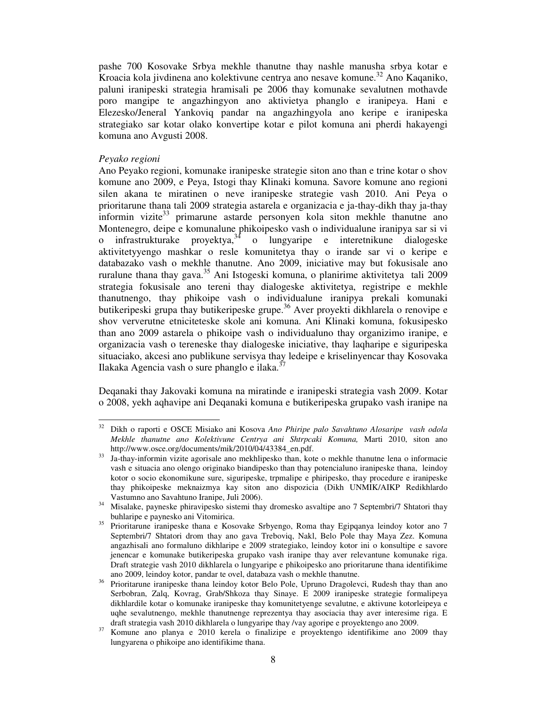pashe 700 Kosovake Srbya mekhle thanutne thay nashle manusha srbya kotar e Kroacia kola jivdinena ano kolektivune centrya ano nesave komune.<sup>32</sup> Ano Kaqaniko, paluni iranipeski strategia hramisali pe 2006 thay komunake sevalutnen mothavde poro mangipe te angazhingyon ano aktivietya phanglo e iranipeya. Hani e Elezesko/Jeneral Yankoviq pandar na angazhingyola ano keripe e iranipeska strategiako sar kotar olako konvertipe kotar e pilot komuna ani pherdi hakayengi komuna ano Avgusti 2008.

#### *Peyako regioni*

-

Ano Peyako regioni, komunake iranipeske strategie siton ano than e trine kotar o shov komune ano 2009, e Peya, Istogi thay Klinaki komuna. Savore komune ano regioni silen akana te miratinen o neve iranipeske strategie vash 2010. Ani Peya o prioritarune thana tali 2009 strategia astarela e organizacia e ja-thay-dikh thay ja-thay informin vizite $33$  primarune astarde personyen kola siton mekhle thanutne ano Montenegro, deipe e komunalune phikoipesko vash o individualune iranipya sar si vi o infrastrukturake proyektya,  $34$  o lungyaripe e interetnikune dialogeske aktivitetyyengo mashkar o resle komunitetya thay o irande sar vi o keripe e databazako vash o mekhle thanutne. Ano 2009, iniciative may but fokusisale ano ruralune thana thay gava.<sup>35</sup> Ani Istogeski komuna, o planirime aktivitetya tali 2009 strategia fokusisale ano tereni thay dialogeske aktivitetya, registripe e mekhle thanutnengo, thay phikoipe vash o individualune iranipya prekali komunaki butikeripeski grupa thay butikeripeske grupe.<sup>36</sup> Aver proyekti dikhlarela o renovipe e shov ververutne etniciteteske skole ani komuna. Ani Klinaki komuna, fokusipesko than ano 2009 astarela o phikoipe vash o individualuno thay organizimo iranipe, e organizacia vash o tereneske thay dialogeske iniciative, thay laqharipe e siguripeska situaciako, akcesi ano publikune servisya thay ledeipe e kriselinyencar thay Kosovaka Ilakaka Agencia vash o sure phanglo e ilaka. $3$ 

Deqanaki thay Jakovaki komuna na miratinde e iranipeski strategia vash 2009. Kotar o 2008, yekh aqhavipe ani Deqanaki komuna e butikeripeska grupako vash iranipe na

<sup>32</sup> Dikh o raporti e OSCE Misiako ani Kosova *Ano Phiripe palo Savahtuno Alosaripe vash odola Mekhle thanutne ano Kolektivune Centrya ani Shtrpcaki Komuna,* Marti 2010, siton ano http://www.osce.org/documents/mik/2010/04/43384\_en.pdf.

<sup>&</sup>lt;sup>33</sup> Ja-thay-informin vizite agorisale ano mekhlipesko than, kote o mekhle thanutne lena o informacie vash e situacia ano olengo originako biandipesko than thay potencialuno iranipeske thana, leindoy kotor o socio ekonomikune sure, siguripeske, trpmalipe e phiripesko, thay procedure e iranipeske thay phikoipeske meknaizmya kay siton ano dispozicia (Dikh UNMIK/AIKP Redikhlardo Vastumno ano Savahtuno Iranipe, Juli 2006).

<sup>&</sup>lt;sup>34</sup> Misalake, payneske phiravipesko sistemi thay dromesko asvaltipe ano 7 Septembri/7 Shtatori thay buhlaripe e paynesko ani Vitomirica.

<sup>&</sup>lt;sup>35</sup> Prioritarune iranipeske thana e Kosovake Srbyengo, Roma thay Egipqanya leindoy kotor ano 7 Septembri/7 Shtatori drom thay ano gava Treboviq, Nakl, Belo Pole thay Maya Zez. Komuna angazhisali ano formaluno dikhlaripe e 2009 strategiako, leindoy kotor ini o konsultipe e savore jenencar e komunake butikeripeska grupako vash iranipe thay aver relevantune komunake riga. Draft strategie vash 2010 dikhlarela o lungyaripe e phikoipesko ano prioritarune thana identifikime ano 2009, leindoy kotor, pandar te ovel, databaza vash o mekhle thanutne.

<sup>&</sup>lt;sup>36</sup> Prioritarune iranipeske thana leindoy kotor Belo Pole, Upruno Dragolevci, Rudesh thay than ano Serbobran, Zalq, Kovrag, Grab/Shkoza thay Sinaye. E 2009 iranipeske strategie formalipeya dikhlardile kotar o komunake iranipeske thay komunitetyenge sevalutne, e aktivune kotorleipeya e uqhe sevalutnengo, mekhle thanutnenge reprezentya thay asociacia thay aver interesime riga. E draft strategia vash 2010 dikhlarela o lungyaripe thay /vay agoripe e proyektengo ano 2009.

<sup>37</sup>  Komune ano planya e 2010 kerela o finalizipe e proyektengo identifikime ano 2009 thay lungyarena o phikoipe ano identifikime thana.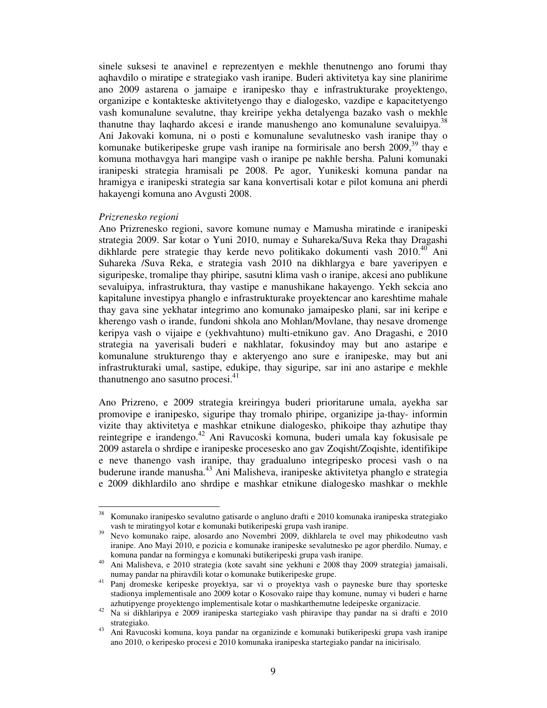sinele suksesi te anavinel e reprezentyen e mekhle thenutnengo ano forumi thay aqhavdilo o miratipe e strategiako vash iranipe. Buderi aktivitetya kay sine planirime ano 2009 astarena o jamaipe e iranipesko thay e infrastrukturake proyektengo, organizipe e kontakteske aktivitetyengo thay e dialogesko, vazdipe e kapacitetyengo vash komunalune sevalutne, thay kreiripe yekha detalyenga bazako vash o mekhle thanutne thay laqhardo akcesi e irande manushengo ano komunalune sevaluipya.<sup>38</sup> Ani Jakovaki komuna, ni o posti e komunalune sevalutnesko vash iranipe thay o komunake butikeripeske grupe vash iranipe na formirisale ano bersh  $2009$ ,  $39$  thay e komuna mothavgya hari mangipe vash o iranipe pe nakhle bersha. Paluni komunaki iranipeski strategia hramisali pe 2008. Pe agor, Yunikeski komuna pandar na hramigya e iranipeski strategia sar kana konvertisali kotar e pilot komuna ani pherdi hakayengi komuna ano Avgusti 2008.

#### *Prizrenesko regioni*

Ano Prizrenesko regioni, savore komune numay e Mamusha miratinde e iranipeski strategia 2009. Sar kotar o Yuni 2010, numay e Suhareka/Suva Reka thay Dragashi dikhlarde pere strategie thay kerde nevo politikako dokumenti vash  $2010^{40}$  Ani Suhareka /Suva Reka, e strategia vash 2010 na dikhlargya e bare yaveripyen e siguripeske, tromalipe thay phiripe, sasutni klima vash o iranipe, akcesi ano publikune sevaluipya, infrastruktura, thay vastipe e manushikane hakayengo. Yekh sekcia ano kapitalune investipya phanglo e infrastrukturake proyektencar ano kareshtime mahale thay gava sine yekhatar integrimo ano komunako jamaipesko plani, sar ini keripe e kherengo vash o irande, fundoni shkola ano Mohlan/Movlane, thay nesave dromenge keripya vash o vijaipe e (yekhvahtuno) multi-etnikuno gav. Ano Dragashi, e 2010 strategia na yaverisali buderi e nakhlatar, fokusindoy may but ano astaripe e komunalune strukturengo thay e akteryengo ano sure e iranipeske, may but ani infrastrukturaki umal, sastipe, edukipe, thay siguripe, sar ini ano astaripe e mekhle thanutnengo ano sasutno procesi.<sup>41</sup>

Ano Prizreno, e 2009 strategia kreiringya buderi prioritarune umala, ayekha sar promovipe e iranipesko, siguripe thay tromalo phiripe, organizipe ja-thay- informin vizite thay aktivitetya e mashkar etnikune dialogesko, phikoipe thay azhutipe thay reintegripe e irandengo.<sup>42</sup> Ani Ravucoski komuna, buderi umala kay fokusisale pe 2009 astarela o shrdipe e iranipeske procesesko ano gav Zoqisht/Zoqishte, identifikipe e neve thanengo vash iranipe, thay gradualuno integripesko procesi vash o na buderune irande manusha.<sup>43</sup> Ani Malisheva, iranipeske aktivitetya phanglo e strategia e 2009 dikhlardilo ano shrdipe e mashkar etnikune dialogesko mashkar o mekhle

 $38\,$ <sup>38</sup> Komunako iranipesko sevalutno gatisarde o angluno drafti e 2010 komunaka iranipeska strategiako vash te miratingyol kotar e komunaki butikeripeski grupa vash iranipe.

<sup>39</sup> Nevo komunako raipe, alosardo ano Novembri 2009, dikhlarela te ovel may phikodeutno vash iranipe. Ano Mayi 2010, e pozicia e komunake iranipeske sevalutnesko pe agor pherdilo. Numay, e komuna pandar na formingya e komunaki butikeripeski grupa vash iranipe.

<sup>40</sup> Ani Malisheva, e 2010 strategia (kote savaht sine yekhuni e 2008 thay 2009 strategia) jamaisali, numay pandar na phiravdili kotar o komunake butikeripeske grupe.

<sup>41</sup> Panj dromeske keripeske proyektya, sar vi o proyektya vash o payneske bure thay sporteske stadionya implementisale ano 2009 kotar o Kosovako raipe thay komune, numay vi buderi e harne azhutipyenge proyektengo implementisale kotar o mashkarthemutne ledeipeske organizacie.

<sup>42</sup> Na si dikhlaripya e 2009 iranipeska startegiako vash phiravipe thay pandar na si drafti e 2010 strategiako.

<sup>43</sup> Ani Ravucoski komuna, koya pandar na organizinde e komunaki butikeripeski grupa vash iranipe ano 2010, o keripesko procesi e 2010 komunaka iranipeska startegiako pandar na inicirisalo.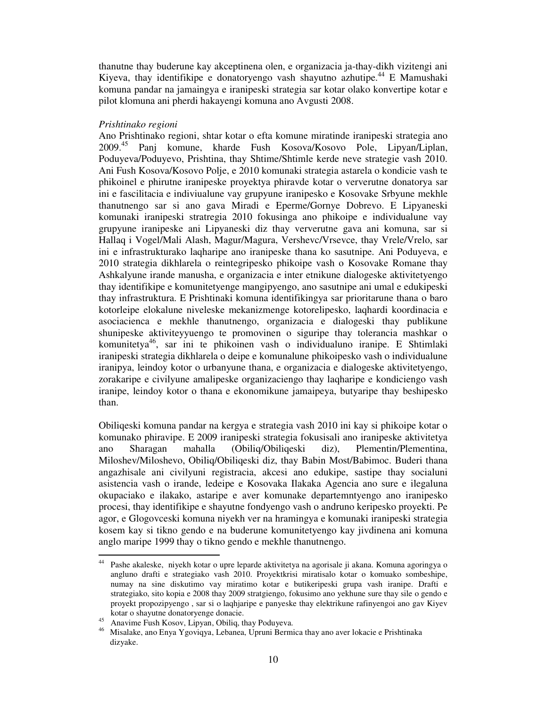thanutne thay buderune kay akceptinena olen, e organizacia ja-thay-dikh vizitengi ani Kiyeva, thay identifikipe e donatoryengo vash shayutno azhutipe.<sup>44</sup> E Mamushaki komuna pandar na jamaingya e iranipeski strategia sar kotar olako konvertipe kotar e pilot klomuna ani pherdi hakayengi komuna ano Avgusti 2008.

#### *Prishtinako regioni*

Ano Prishtinako regioni, shtar kotar o efta komune miratinde iranipeski strategia ano 2009.<sup>45</sup> Panj komune, kharde Fush Kosova/Kosovo Pole, Lipyan/Liplan, Poduyeva/Poduyevo, Prishtina, thay Shtime/Shtimle kerde neve strategie vash 2010. Ani Fush Kosova/Kosovo Polje, e 2010 komunaki strategia astarela o kondicie vash te phikoinel e phirutne iranipeske proyektya phiravde kotar o ververutne donatorya sar ini e fascilitacia e indiviualune vay grupyune iranipesko e Kosovake Srbyune mekhle thanutnengo sar si ano gava Miradi e Eperme/Gornye Dobrevo. E Lipyaneski komunaki iranipeski stratregia 2010 fokusinga ano phikoipe e individualune vay grupyune iranipeske ani Lipyaneski diz thay ververutne gava ani komuna, sar si Hallaq i Vogel/Mali Alash, Magur/Magura, Vershevc/Vrsevce, thay Vrele/Vrelo, sar ini e infrastrukturako laqharipe ano iranipeske thana ko sasutnipe. Ani Poduyeva, e 2010 strategia dikhlarela o reintegripesko phikoipe vash o Kosovake Romane thay Ashkalyune irande manusha, e organizacia e inter etnikune dialogeske aktivitetyengo thay identifikipe e komunitetyenge mangipyengo, ano sasutnipe ani umal e edukipeski thay infrastruktura. E Prishtinaki komuna identifikingya sar prioritarune thana o baro kotorleipe elokalune niveleske mekanizmenge kotorelipesko, laqhardi koordinacia e asociacienca e mekhle thanutnengo, organizacia e dialogeski thay publikune shunipeske aktiviteyyuengo te promovinen o siguripe thay tolerancia mashkar o komunitetya<sup>46</sup>, sar ini te phikoinen vash o individualuno iranipe. E Shtimlaki iranipeski strategia dikhlarela o deipe e komunalune phikoipesko vash o individualune iranipya, leindoy kotor o urbanyune thana, e organizacia e dialogeske aktivitetyengo, zorakaripe e civilyune amalipeske organizaciengo thay laqharipe e kondiciengo vash iranipe, leindoy kotor o thana e ekonomikune jamaipeya, butyaripe thay beshipesko than.

Obiliqeski komuna pandar na kergya e strategia vash 2010 ini kay si phikoipe kotar o komunako phiravipe. E 2009 iranipeski strategia fokusisali ano iranipeske aktivitetya ano Sharagan mahalla (Obiliq/Obiliqeski diz), Plementin/Plementina, Miloshev/Miloshevo, Obiliq/Obiliqeski diz, thay Babin Most/Babimoc. Buderi thana angazhisale ani civilyuni registracia, akcesi ano edukipe, sastipe thay socialuni asistencia vash o irande, ledeipe e Kosovaka Ilakaka Agencia ano sure e ilegaluna okupaciako e ilakako, astaripe e aver komunake departemntyengo ano iranipesko procesi, thay identifikipe e shayutne fondyengo vash o andruno keripesko proyekti. Pe agor, e Glogovceski komuna niyekh ver na hramingya e komunaki iranipeski strategia kosem kay si tikno gendo e na buderune komunitetyengo kay jivdinena ani komuna anglo maripe 1999 thay o tikno gendo e mekhle thanutnengo.

 $44\,$ <sup>44</sup> Pashe akaleske, niyekh kotar o upre leparde aktivitetya na agorisale ji akana. Komuna agoringya o angluno drafti e strategiako vash 2010. Proyektkrisi miratisalo kotar o komuako sombeshipe, numay na sine diskutimo vay miratimo kotar e butikeripeski grupa vash iranipe. Drafti e strategiako, sito kopia e 2008 thay 2009 stratgiengo, fokusimo ano yekhune sure thay sile o gendo e proyekt propozipyengo , sar si o laqhjaripe e panyeske thay elektrikune rafinyengoi ano gav Kiyev kotar o shayutne donatoryenge donacie.

<sup>45</sup> Anavime Fush Kosov, Lipyan, Obiliq, thay Poduyeva.

<sup>46</sup> Misalake, ano Enya Ygoviqya, Lebanea, Upruni Bermica thay ano aver lokacie e Prishtinaka dizyake.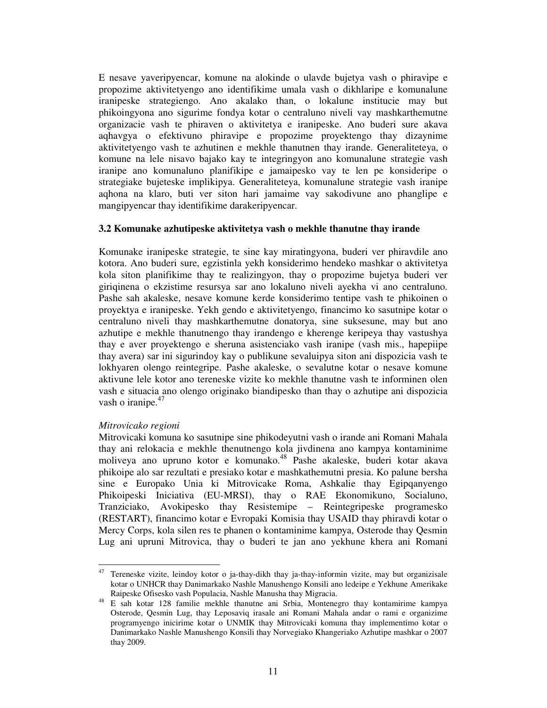E nesave yaveripyencar, komune na alokinde o ulavde bujetya vash o phiravipe e propozime aktivitetyengo ano identifikime umala vash o dikhlaripe e komunalune iranipeske strategiengo. Ano akalako than, o lokalune institucie may but phikoingyona ano sigurime fondya kotar o centraluno niveli vay mashkarthemutne organizacie vash te phiraven o aktivitetya e iranipeske. Ano buderi sure akava aqhavgya o efektivuno phiravipe e propozime proyektengo thay dizaynime aktivitetyengo vash te azhutinen e mekhle thanutnen thay irande. Generaliteteya, o komune na lele nisavo bajako kay te integringyon ano komunalune strategie vash iranipe ano komunaluno planifikipe e jamaipesko vay te len pe konsideripe o strategiake bujeteske implikipya. Generaliteteya, komunalune strategie vash iranipe aqhona na klaro, buti ver siton hari jamaime vay sakodivune ano phanglipe e mangipyencar thay identifikime darakeripyencar.

# **3.2 Komunake azhutipeske aktivitetya vash o mekhle thanutne thay irande**

Komunake iranipeske strategie, te sine kay miratingyona, buderi ver phiravdile ano kotora. Ano buderi sure, egzistinla yekh konsiderimo hendeko mashkar o aktivitetya kola siton planifikime thay te realizingyon, thay o propozime bujetya buderi ver giriqinena o ekzistime resursya sar ano lokaluno niveli ayekha vi ano centraluno. Pashe sah akaleske, nesave komune kerde konsiderimo tentipe vash te phikoinen o proyektya e iranipeske. Yekh gendo e aktivitetyengo, financimo ko sasutnipe kotar o centraluno niveli thay mashkarthemutne donatorya, sine suksesune, may but ano azhutipe e mekhle thanutnengo thay irandengo e kherenge keripeya thay vastushya thay e aver proyektengo e sheruna asistenciako vash iranipe (vash mis., hapepiipe thay avera) sar ini sigurindoy kay o publikune sevaluipya siton ani dispozicia vash te lokhyaren olengo reintegripe. Pashe akaleske, o sevalutne kotar o nesave komune aktivune lele kotor ano tereneske vizite ko mekhle thanutne vash te informinen olen vash e situacia ano olengo originako biandipesko than thay o azhutipe ani dispozicia vash o iranipe. $47$ 

# *Mitrovicako regioni*

Mitrovicaki komuna ko sasutnipe sine phikodeyutni vash o irande ani Romani Mahala thay ani relokacia e mekhle thenutnengo kola jivdinena ano kampya kontaminime moliveya ano upruno kotor e komunako.<sup>48</sup> Pashe akaleske, buderi kotar akava phikoipe alo sar rezultati e presiako kotar e mashkathemutni presia. Ko palune bersha sine e Europako Unia ki Mitrovicake Roma, Ashkalie thay Egipqanyengo Phikoipeski Iniciativa (EU-MRSI), thay o RAE Ekonomikuno, Socialuno, Tranziciako, Avokipesko thay Resistemipe – Reintegripeske programesko (RESTART), financimo kotar e Evropaki Komisia thay USAID thay phiravdi kotar o Mercy Corps, kola silen res te phanen o kontaminime kampya, Osterode thay Qesmin Lug ani upruni Mitrovica, thay o buderi te jan ano yekhune khera ani Romani

<sup>47</sup> Tereneske vizite, leindoy kotor o ja-thay-dikh thay ja-thay-informin vizite, may but organizisale kotar o UNHCR thay Danimarkako Nashle Manushengo Konsili ano ledeipe e Yekhune Amerikake Raipeske Ofisesko vash Populacia, Nashle Manusha thay Migracia.

<sup>48</sup> E sah kotar 128 familie mekhle thanutne ani Srbia, Montenegro thay kontamirime kampya Osterode, Qesmin Lug, thay Leposaviq irasale ani Romani Mahala andar o rami e organizime programyengo inicirime kotar o UNMIK thay Mitrovicaki komuna thay implementimo kotar o Danimarkako Nashle Manushengo Konsili thay Norvegiako Khangeriako Azhutipe mashkar o 2007 thay 2009.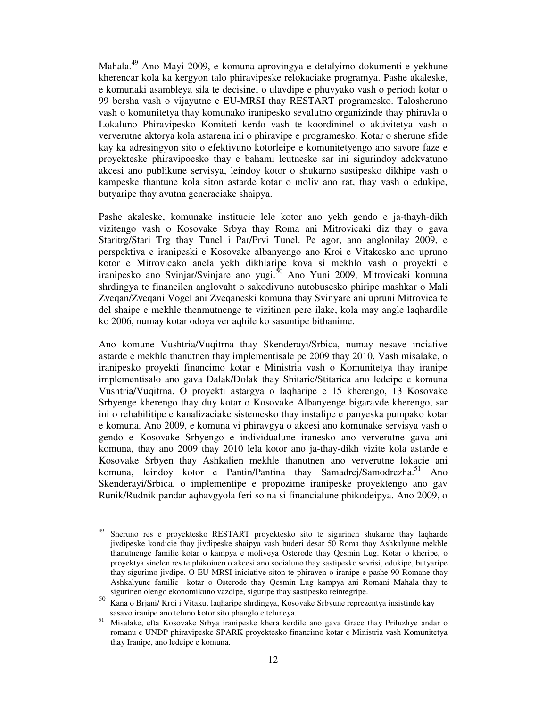Mahala.<sup>49</sup> Ano Mayi 2009, e komuna aprovingya e detalyimo dokumenti e yekhune kherencar kola ka kergyon talo phiravipeske relokaciake programya. Pashe akaleske, e komunaki asambleya sila te decisinel o ulavdipe e phuvyako vash o periodi kotar o 99 bersha vash o vijayutne e EU-MRSI thay RESTART programesko. Talosheruno vash o komunitetya thay komunako iranipesko sevalutno organizinde thay phiravla o Lokaluno Phiravipesko Komiteti kerdo vash te koordininel o aktivitetya vash o ververutne aktorya kola astarena ini o phiravipe e programesko. Kotar o sherune sfide kay ka adresingyon sito o efektivuno kotorleipe e komunitetyengo ano savore faze e proyekteske phiravipoesko thay e bahami leutneske sar ini sigurindoy adekvatuno akcesi ano publikune servisya, leindoy kotor o shukarno sastipesko dikhipe vash o kampeske thantune kola siton astarde kotar o moliv ano rat, thay vash o edukipe, butyaripe thay avutna generaciake shaipya.

Pashe akaleske, komunake institucie lele kotor ano yekh gendo e ja-thayh-dikh vizitengo vash o Kosovake Srbya thay Roma ani Mitrovicaki diz thay o gava Staritrg/Stari Trg thay Tunel i Par/Prvi Tunel. Pe agor, ano anglonilay 2009, e perspektiva e iranipeski e Kosovake albanyengo ano Kroi e Vitakesko ano upruno kotor e Mitrovicako anela yekh dikhlaripe kova si mekhlo vash o proyekti e iranipesko ano Svinjar/Svinjare ano yugi.<sup>50</sup> Ano Yuni 2009, Mitrovicaki komuna shrdingya te financilen anglovaht o sakodivuno autobusesko phiripe mashkar o Mali Zveqan/Zveqani Vogel ani Zveqaneski komuna thay Svinyare ani upruni Mitrovica te del shaipe e mekhle thenmutnenge te vizitinen pere ilake, kola may angle laqhardile ko 2006, numay kotar odoya ver aqhile ko sasuntipe bithanime.

Ano komune Vushtria/Vuqitrna thay Skenderayi/Srbica, numay nesave inciative astarde e mekhle thanutnen thay implementisale pe 2009 thay 2010. Vash misalake, o iranipesko proyekti financimo kotar e Ministria vash o Komunitetya thay iranipe implementisalo ano gava Dalak/Dolak thay Shitaric/Stitarica ano ledeipe e komuna Vushtria/Vuqitrna. O proyekti astargya o laqharipe e 15 kherengo, 13 Kosovake Srbyenge kherengo thay duy kotar o Kosovake Albanyenge bigaravde kherengo, sar ini o rehabilitipe e kanalizaciake sistemesko thay instalipe e panyeska pumpako kotar e komuna. Ano 2009, e komuna vi phiravgya o akcesi ano komunake servisya vash o gendo e Kosovake Srbyengo e individualune iranesko ano ververutne gava ani komuna, thay ano 2009 thay 2010 lela kotor ano ja-thay-dikh vizite kola astarde e Kosovake Srbyen thay Ashkalien mekhle thanutnen ano ververutne lokacie ani komuna, leindoy kotor e Pantin/Pantina thay Samadrej/Samodrezha.<sup>51</sup> Ano Skenderayi/Srbica, o implementipe e propozime iranipeske proyektengo ano gav Runik/Rudnik pandar aqhavgyola feri so na si financialune phikodeipya. Ano 2009, o

<sup>49</sup> <sup>49</sup> Sheruno res e proyektesko RESTART proyektesko sito te sigurinen shukarne thay laqharde jivdipeske kondicie thay jivdipeske shaipya vash buderi desar 50 Roma thay Ashkalyune mekhle thanutnenge familie kotar o kampya e moliveya Osterode thay Qesmin Lug. Kotar o kheripe, o proyektya sinelen res te phikoinen o akcesi ano socialuno thay sastipesko sevrisi, edukipe, butyaripe thay sigurimo jivdipe. O EU-MRSI iniciative siton te phiraven o iranipe e pashe 90 Romane thay Ashkalyune familie kotar o Osterode thay Qesmin Lug kampya ani Romani Mahala thay te sigurinen olengo ekonomikuno vazdipe, siguripe thay sastipesko reintegripe.

<sup>50</sup> Kana o Brjani/ Kroi i Vitakut laqharipe shrdingya, Kosovake Srbyune reprezentya insistinde kay sasavo iranipe ano teluno kotor sito phanglo e teluneya.

<sup>51</sup> Misalake, efta Kosovake Srbya iranipeske khera kerdile ano gava Grace thay Priluzhye andar o romanu e UNDP phiravipeske SPARK proyektesko financimo kotar e Ministria vash Komunitetya thay Iranipe, ano ledeipe e komuna.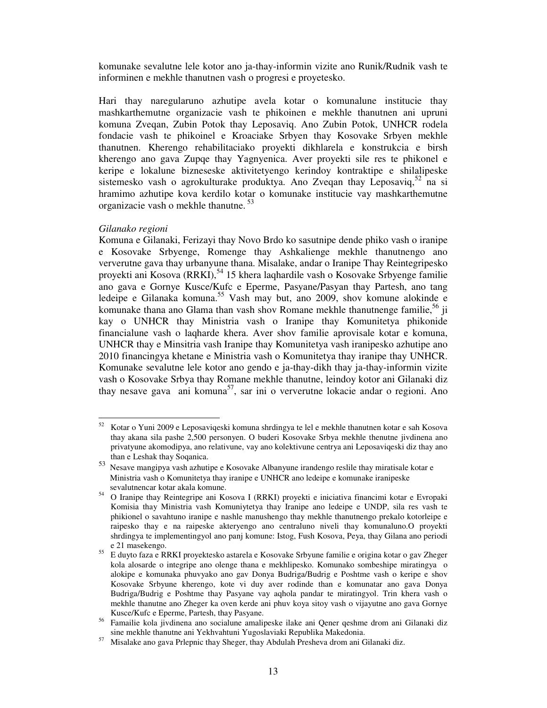komunake sevalutne lele kotor ano ja-thay-informin vizite ano Runik/Rudnik vash te informinen e mekhle thanutnen vash o progresi e proyetesko.

Hari thay naregularuno azhutipe avela kotar o komunalune institucie thay mashkarthemutne organizacie vash te phikoinen e mekhle thanutnen ani upruni komuna Zveqan, Zubin Potok thay Leposaviq. Ano Zubin Potok, UNHCR rodela fondacie vash te phikoinel e Kroaciake Srbyen thay Kosovake Srbyen mekhle thanutnen. Kherengo rehabilitaciako proyekti dikhlarela e konstrukcia e birsh kherengo ano gava Zupqe thay Yagnyenica. Aver proyekti sile res te phikonel e keripe e lokalune bizneseske aktivitetyengo kerindoy kontraktipe e shilalipeske sistemesko vash o agrokulturake produktya. Ano Zvegan thay Leposaviq,  $52$  na si hramimo azhutipe kova kerdilo kotar o komunake institucie vay mashkarthemutne organizacie vash o mekhle thanutne.<sup>53</sup>

#### *Gilanako regioni*

Komuna e Gilanaki, Ferizayi thay Novo Brdo ko sasutnipe dende phiko vash o iranipe e Kosovake Srbyenge, Romenge thay Ashkalienge mekhle thanutnengo ano ververutne gava thay urbanyune thana. Misalake, andar o Iranipe Thay Reintegripesko proyekti ani Kosova (RRKI),  $54$  15 khera laqhardile vash o Kosovake Srbyenge familie ano gava e Gornye Kusce/Kufc e Eperme, Pasyane/Pasyan thay Partesh, ano tang ledeipe e Gilanaka komuna.<sup>55</sup> Vash may but, ano 2009, shov komune alokinde e komunake thana ano Glama than vash shov Romane mekhle thanutnenge familie,  $56$  ji kay o UNHCR thay Ministria vash o Iranipe thay Komunitetya phikonide financialune vash o laqharde khera. Aver shov familie aprovisale kotar e komuna, UNHCR thay e Minsitria vash Iranipe thay Komunitetya vash iranipesko azhutipe ano 2010 financingya khetane e Ministria vash o Komunitetya thay iranipe thay UNHCR. Komunake sevalutne lele kotor ano gendo e ja-thay-dikh thay ja-thay-informin vizite vash o Kosovake Srbya thay Romane mekhle thanutne, leindoy kotor ani Gilanaki diz thay nesave gava ani komuna<sup>57</sup>, sar ini o ververutne lokacie andar o regioni. Ano

<sup>52</sup> <sup>52</sup> Kotar o Yuni 2009 e Leposaviqeski komuna shrdingya te lel e mekhle thanutnen kotar e sah Kosova thay akana sila pashe 2,500 personyen. O buderi Kosovake Srbya mekhle thenutne jivdinena ano privatyune akomodipya, ano relativune, vay ano kolektivune centrya ani Leposaviqeski diz thay ano than e Leshak thay Soqanica.

<sup>53</sup> Nesave mangipya vash azhutipe e Kosovake Albanyune irandengo reslile thay miratisale kotar e Ministria vash o Komunitetya thay iranipe e UNHCR ano ledeipe e komunake iranipeske sevalutnencar kotar akala komune.

<sup>54</sup> O Iranipe thay Reintegripe ani Kosova I (RRKI) proyekti e iniciativa financimi kotar e Evropaki Komisia thay Ministria vash Komuniytetya thay Iranipe ano ledeipe e UNDP, sila res vash te phikionel o savahtuno iranipe e nashle manushengo thay mekhle thanutnengo prekalo kotorleipe e raipesko thay e na raipeske akteryengo ano centraluno niveli thay komunaluno.O proyekti shrdingya te implementingyol ano panj komune: Istog, Fush Kosova, Peya, thay Gilana ano periodi e 21 masekengo.

<sup>55</sup> E duyto faza e RRKI proyektesko astarela e Kosovake Srbyune familie e origina kotar o gav Zheger kola alosarde o integripe ano olenge thana e mekhlipesko. Komunako sombeshipe miratingya o alokipe e komunaka phuvyako ano gav Donya Budriga/Budrig e Poshtme vash o keripe e shov Kosovake Srbyune kherengo, kote vi duy aver rodinde than e komunatar ano gava Donya Budriga/Budrig e Poshtme thay Pasyane vay aqhola pandar te miratingyol. Trin khera vash o mekhle thanutne ano Zheger ka oven kerde ani phuv koya sitoy vash o vijayutne ano gava Gornye Kusce/Kufc e Eperme, Partesh, thay Pasyane.

<sup>56</sup> Famailie kola jivdinena ano socialune amalipeske ilake ani Qener qeshme drom ani Gilanaki diz sine mekhle thanutne ani Yekhvahtuni Yugoslaviaki Republika Makedonia.

<sup>57</sup> Misalake ano gava Prlepnic thay Sheger, thay Abdulah Presheva drom ani Gilanaki diz.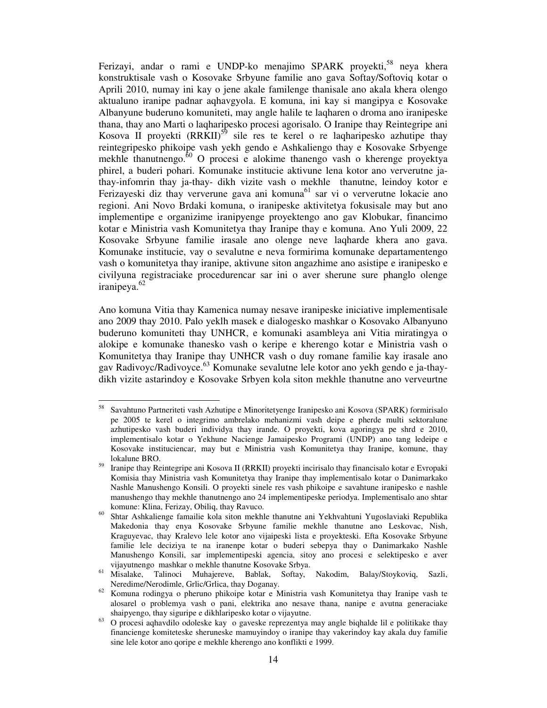Ferizayi, andar o rami e UNDP-ko menajimo SPARK proyekti,<sup>58</sup> neya khera konstruktisale vash o Kosovake Srbyune familie ano gava Softay/Softoviq kotar o Aprili 2010, numay ini kay o jene akale familenge thanisale ano akala khera olengo aktualuno iranipe padnar aqhavgyola. E komuna, ini kay si mangipya e Kosovake Albanyune buderuno komuniteti, may angle halile te laqharen o droma ano iranipeske thana, thay ano Marti o laqharipesko procesi agorisalo. O Iranipe thay Reintegripe ani Kosova II proyekti  $(RRKII)^{59}$  sile res te kerel o re laqharipesko azhutipe thay reintegripesko phikoipe vash yekh gendo e Ashkaliengo thay e Kosovake Srbyenge mekhle thanutnengo. $60$  O procesi e alokime thanengo vash o kherenge proyektya phirel, a buderi pohari. Komunake institucie aktivune lena kotor ano ververutne jathay-infomrin thay ja-thay- dikh vizite vash o mekhle thanutne, leindoy kotor e Ferizayeski diz thay ververune gava ani komuna<sup>61</sup> sar vi o ververutne lokacie ano regioni. Ani Novo Brdaki komuna, o iranipeske aktivitetya fokusisale may but ano implementipe e organizime iranipyenge proyektengo ano gav Klobukar, financimo kotar e Ministria vash Komunitetya thay Iranipe thay e komuna. Ano Yuli 2009, 22 Kosovake Srbyune familie irasale ano olenge neve laqharde khera ano gava. Komunake institucie, vay o sevalutne e neva formirima komunake departamentengo vash o komunitetya thay iranipe, aktivune siton angazhime ano asistipe e iranipesko e civilyuna registraciake procedurencar sar ini o aver sherune sure phanglo olenge iranipeya.<sup>62</sup>

Ano komuna Vitia thay Kamenica numay nesave iranipeske iniciative implementisale ano 2009 thay 2010. Palo yeklh masek e dialogesko mashkar o Kosovako Albanyuno buderuno komuniteti thay UNHCR, e komunaki asambleya ani Vitia miratingya o alokipe e komunake thanesko vash o keripe e kherengo kotar e Ministria vash o Komunitetya thay Iranipe thay UNHCR vash o duy romane familie kay irasale ano gav Radivoyc/Radivoyce.<sup>63</sup> Komunake sevalutne lele kotor ano yekh gendo e ja-thaydikh vizite astarindoy e Kosovake Srbyen kola siton mekhle thanutne ano verveurtne

<sup>58</sup> <sup>58</sup> Savahtuno Partneriteti vash Azhutipe e Minoritetyenge Iranipesko ani Kosova (SPARK) formirisalo pe 2005 te kerel o integrimo ambrelako mehanizmi vash deipe e pherde multi sektoralune azhutipesko vash buderi individya thay irande. O proyekti, kova agoringya pe shrd e 2010, implementisalo kotar o Yekhune Nacienge Jamaipesko Programi (UNDP) ano tang ledeipe e Kosovake instituciencar, may but e Ministria vash Komunitetya thay Iranipe, komune, thay lokalune BRO.

<sup>59</sup> Iranipe thay Reintegripe ani Kosova II (RRKII) proyekti incirisalo thay financisalo kotar e Evropaki Komisia thay Ministria vash Komunitetya thay Iranipe thay implementisalo kotar o Danimarkako Nashle Manushengo Konsili. O proyekti sinele res vash phikoipe e savahtune iranipesko e nashle manushengo thay mekhle thanutnengo ano 24 implementipeske periodya. Implementisalo ano shtar komune: Klina, Ferizay, Obiliq, thay Ravuco.

<sup>60</sup> Shtar Ashkalienge famailie kola siton mekhle thanutne ani Yekhvahtuni Yugoslaviaki Republika Makedonia thay enya Kosovake Srbyune familie mekhle thanutne ano Leskovac, Nish, Kraguyevac, thay Kralevo lele kotor ano vijaipeski lista e proyekteski. Efta Kosovake Srbyune familie lele deciziya te na iranenpe kotar o buderi sebepya thay o Danimarkako Nashle Manushengo Konsili, sar implementipeski agencia, sitoy ano procesi e selektipesko e aver vijayutnengo mashkar o mekhle thanutne Kosovake Srbya.

<sup>61</sup> Misalake, Talinoci Muhajereve, Bablak, Softay, Nakodim, Balay/Stoykoviq, Sazli, Neredime/Nerodimle, Grlic/Grlica, thay Doganay.

<sup>62</sup> Komuna rodingya o pheruno phikoipe kotar e Ministria vash Komunitetya thay Iranipe vash te alosarel o problemya vash o pani, elektrika ano nesave thana, nanipe e avutna generaciake shaipyengo, thay siguripe e dikhlaripesko kotar o vijayutne.

 $\frac{63}{63}$  O procesi aqhavdilo odoleske kay o gaveske reprezentya may angle biqhalde lil e politikake thay financienge komiteteske sheruneske mamuyindoy o iranipe thay vakerindoy kay akala duy familie sine lele kotor ano qoripe e mekhle kherengo ano konflikti e 1999.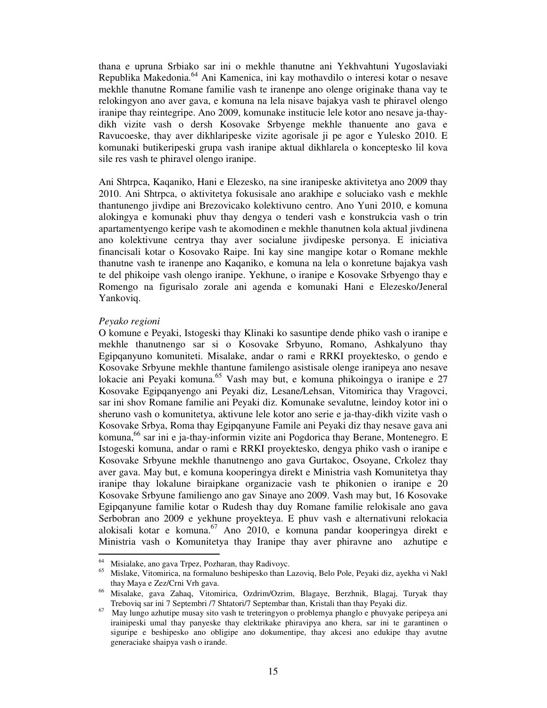thana e upruna Srbiako sar ini o mekhle thanutne ani Yekhvahtuni Yugoslaviaki Republika Makedonia.<sup>64</sup> Ani Kamenica, ini kay mothavdilo o interesi kotar o nesave mekhle thanutne Romane familie vash te iranenpe ano olenge originake thana vay te relokingyon ano aver gava, e komuna na lela nisave bajakya vash te phiravel olengo iranipe thay reintegripe. Ano 2009, komunake institucie lele kotor ano nesave ja-thaydikh vizite vash o dersh Kosovake Srbyenge mekhle thanuente ano gava e Ravucoeske, thay aver dikhlaripeske vizite agorisale ji pe agor e Yulesko 2010. E komunaki butikeripeski grupa vash iranipe aktual dikhlarela o konceptesko lil kova sile res vash te phiravel olengo iranipe.

Ani Shtrpca, Kaqaniko, Hani e Elezesko, na sine iranipeske aktivitetya ano 2009 thay 2010. Ani Shtrpca, o aktivitetya fokusisale ano arakhipe e soluciako vash e mekhle thantunengo jivdipe ani Brezovicako kolektivuno centro. Ano Yuni 2010, e komuna alokingya e komunaki phuv thay dengya o tenderi vash e konstrukcia vash o trin apartamentyengo keripe vash te akomodinen e mekhle thanutnen kola aktual jivdinena ano kolektivune centrya thay aver socialune jivdipeske personya. E iniciativa financisali kotar o Kosovako Raipe. Ini kay sine mangipe kotar o Romane mekhle thanutne vash te iranenpe ano Kaqaniko, e komuna na lela o konretune bajakya vash te del phikoipe vash olengo iranipe. Yekhune, o iranipe e Kosovake Srbyengo thay e Romengo na figurisalo zorale ani agenda e komunaki Hani e Elezesko/Jeneral Yankoviq.

#### *Peyako regioni*

-

O komune e Peyaki, Istogeski thay Klinaki ko sasuntipe dende phiko vash o iranipe e mekhle thanutnengo sar si o Kosovake Srbyuno, Romano, Ashkalyuno thay Egipqanyuno komuniteti. Misalake, andar o rami e RRKI proyektesko, o gendo e Kosovake Srbyune mekhle thantune familengo asistisale olenge iranipeya ano nesave lokacie ani Peyaki komuna.<sup>65</sup> Vash may but, e komuna phikoingya o iranipe e 27 Kosovake Egipqanyengo ani Peyaki diz, Lesane/Lehsan, Vitomirica thay Vragovci, sar ini shov Romane familie ani Peyaki diz. Komunake sevalutne, leindoy kotor ini o sheruno vash o komunitetya, aktivune lele kotor ano serie e ja-thay-dikh vizite vash o Kosovake Srbya, Roma thay Egipqanyune Famile ani Peyaki diz thay nesave gava ani komuna,<sup>66</sup> sar ini e ja-thay-informin vizite ani Pogdorica thay Berane, Montenegro. E Istogeski komuna, andar o rami e RRKI proyektesko, dengya phiko vash o iranipe e Kosovake Srbyune mekhle thanutnengo ano gava Gurtakoc, Osoyane, Crkolez thay aver gava. May but, e komuna kooperingya direkt e Ministria vash Komunitetya thay iranipe thay lokalune biraipkane organizacie vash te phikonien o iranipe e 20 Kosovake Srbyune familiengo ano gav Sinaye ano 2009. Vash may but, 16 Kosovake Egipqanyune familie kotar o Rudesh thay duy Romane familie relokisale ano gava Serbobran ano 2009 e yekhune proyekteya. E phuv vash e alternativuni relokacia alokisali kotar e komuna.<sup>67</sup> Ano 2010, e komuna pandar kooperingya direkt e Ministria vash o Komunitetya thay Iranipe thay aver phiravne ano azhutipe e

Misialake, ano gava Trpez, Pozharan, thay Radivoyc.

<sup>65</sup> Mislake, Vitomirica, na formaluno beshipesko than Lazoviq, Belo Pole, Peyaki diz, ayekha vi Nakl thay Maya e Zez/Crni Vrh gava.

<sup>66</sup> Misalake, gava Zahaq, Vitomirica, Ozdrim/Ozrim, Blagaye, Berzhnik, Blagaj, Turyak thay Treboviq sar ini 7 Septembri /7 Shtatori/7 Septembar than, Kristali than thay Peyaki diz.

<sup>67</sup> May lungo azhutipe musay sito vash te treteringyon o problemya phanglo e phuvyake peripeya ani irainipeski umal thay panyeske thay elektrikake phiravipya ano khera, sar ini te garantinen o siguripe e beshipesko ano obligipe ano dokumentipe, thay akcesi ano edukipe thay avutne generaciake shaipya vash o irande.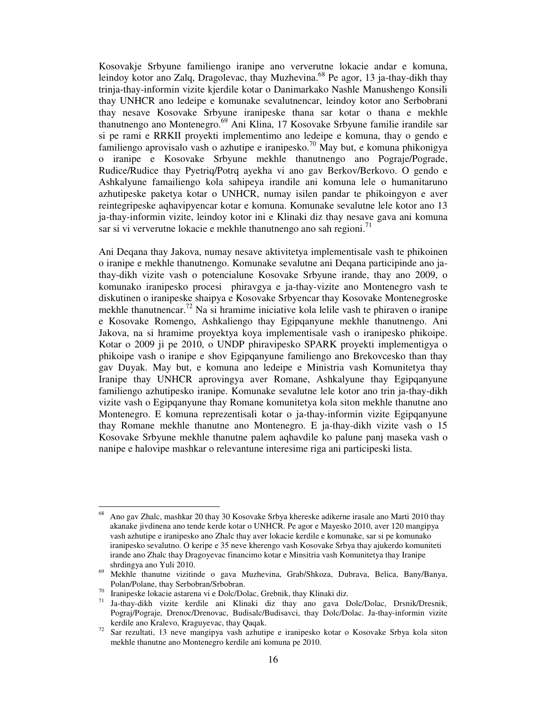Kosovakje Srbyune familiengo iranipe ano ververutne lokacie andar e komuna, leindoy kotor ano Zalq, Dragolevac, thay Muzhevina.<sup>68</sup> Pe agor, 13 ja-thay-dikh thay trinja-thay-informin vizite kjerdile kotar o Danimarkako Nashle Manushengo Konsili thay UNHCR ano ledeipe e komunake sevalutnencar, leindoy kotor ano Serbobrani thay nesave Kosovake Srbyune iranipeske thana sar kotar o thana e mekhle thanutnengo ano Montenegro.<sup>69</sup> Ani Klina, 17 Kosovake Srbyune familie irandile sar si pe rami e RRKII proyekti implementimo ano ledeipe e komuna, thay o gendo e familiengo aprovisalo vash o azhutipe e iranipesko.<sup>70</sup> May but, e komuna phikonigya o iranipe e Kosovake Srbyune mekhle thanutnengo ano Pograje/Pograde, Rudice/Rudice thay Pyetriq/Potrq ayekha vi ano gav Berkov/Berkovo. O gendo e Ashkalyune famailiengo kola sahipeya irandile ani komuna lele o humanitaruno azhutipeske paketya kotar o UNHCR, numay isilen pandar te phikoingyon e aver reintegripeske aqhavipyencar kotar e komuna. Komunake sevalutne lele kotor ano 13 ja-thay-informin vizite, leindoy kotor ini e Klinaki diz thay nesave gava ani komuna sar si vi ververutne lokacie e mekhle thanutnengo ano sah regioni.<sup>71</sup>

Ani Deqana thay Jakova, numay nesave aktivitetya implementisale vash te phikoinen o iranipe e mekhle thanutnengo. Komunake sevalutne ani Deqana participinde ano jathay-dikh vizite vash o potencialune Kosovake Srbyune irande, thay ano 2009, o komunako iranipesko procesi phiravgya e ja-thay-vizite ano Montenegro vash te diskutinen o iranipeske shaipya e Kosovake Srbyencar thay Kosovake Montenegroske mekhle thanutnencar.<sup>72</sup> Na si hramime iniciative kola lelile vash te phiraven o iranipe e Kosovake Romengo, Ashkaliengo thay Egipqanyune mekhle thanutnengo. Ani Jakova, na si hramime proyektya koya implementisale vash o iranipesko phikoipe. Kotar o 2009 ji pe 2010, o UNDP phiravipesko SPARK proyekti implementigya o phikoipe vash o iranipe e shov Egipqanyune familiengo ano Brekovcesko than thay gav Duyak. May but, e komuna ano ledeipe e Ministria vash Komunitetya thay Iranipe thay UNHCR aprovingya aver Romane, Ashkalyune thay Egipqanyune familiengo azhutipesko iranipe. Komunake sevalutne lele kotor ano trin ja-thay-dikh vizite vash o Egipqanyune thay Romane komunitetya kola siton mekhle thanutne ano Montenegro. E komuna reprezentisali kotar o ja-thay-informin vizite Egipqanyune thay Romane mekhle thanutne ano Montenegro. E ja-thay-dikh vizite vash o 15 Kosovake Srbyune mekhle thanutne palem aqhavdile ko palune panj maseka vash o nanipe e halovipe mashkar o relevantune interesime riga ani participeski lista.

-

<sup>68</sup>Ano gav Zhalc, mashkar 20 thay 30 Kosovake Srbya khereske adikerne irasale ano Marti 2010 thay akanake jivdinena ano tende kerde kotar o UNHCR. Pe agor e Mayesko 2010, aver 120 mangipya vash azhutipe e iranipesko ano Zhalc thay aver lokacie kerdile e komunake, sar si pe komunako iranipesko sevalutno. O keripe e 35 neve kherengo vash Kosovake Srbya thay ajukerdo komuniteti irande ano Zhalc thay Dragoyevac financimo kotar e Minsitria vash Komunitetya thay Iranipe shrdingya ano Yuli 2010.

<sup>69</sup> Mekhle thanutne vizitinde o gava Muzhevina, Grab/Shkoza, Dubrava, Belica, Bany/Banya, Polan/Polane, thay Serbobran/Srbobran.

<sup>&</sup>lt;sup>70</sup> Iranipeske lokacie astarena vi e Dolc/Dolac, Grebnik, thay Klinaki diz.<br><sup>71</sup> Ia-thay-dikh vizite, kerdile, ani Klinaki diz. thay ano gava D

<sup>71</sup> Ja-thay-dikh vizite kerdile ani Klinaki diz thay ano gava Dolc/Dolac, Drsnik/Dresnik, Pograj/Pograje, Drenoc/Drenovac, Budisalc/Budisavci, thay Dolc/Dolac. Ja-thay-informin vizite kerdile ano Kralevo, Kraguyevac, thay Qaqak.

 $72$  Sar rezultati, 13 neve mangipya vash azhutipe e iranipesko kotar o Kosovake Srbya kola siton mekhle thanutne ano Montenegro kerdile ani komuna pe 2010.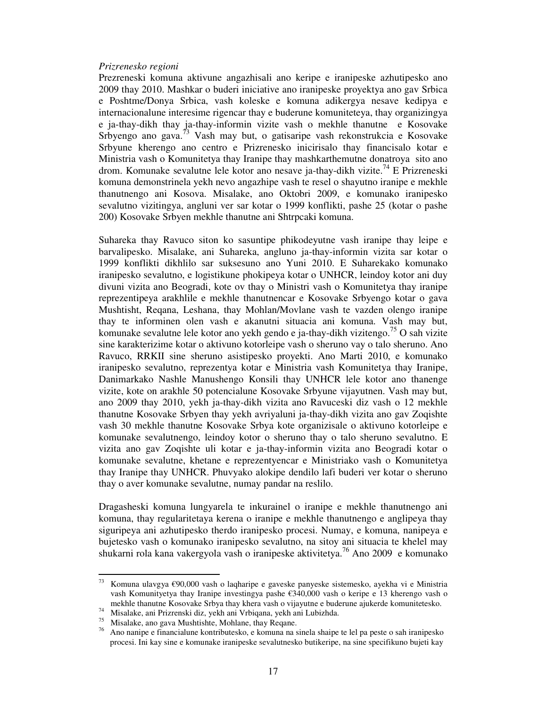#### *Prizrenesko regioni*

Prezreneski komuna aktivune angazhisali ano keripe e iranipeske azhutipesko ano 2009 thay 2010. Mashkar o buderi iniciative ano iranipeske proyektya ano gav Srbica e Poshtme/Donya Srbica, vash koleske e komuna adikergya nesave kedipya e internacionalune interesime rigencar thay e buderune komuniteteya, thay organizingya e ja-thay-dikh thay ja-thay-informin vizite vash o mekhle thanutne e Kosovake Srbyengo ano gava.<sup>73</sup> Vash may but, o gatisaripe vash rekonstrukcia e Kosovake Srbyune kherengo ano centro e Prizrenesko inicirisalo thay financisalo kotar e Ministria vash o Komunitetya thay Iranipe thay mashkarthemutne donatroya sito ano drom. Komunake sevalutne lele kotor ano nesave ja-thay-dikh vizite.<sup>74</sup> E Prizreneski komuna demonstrinela yekh nevo angazhipe vash te resel o shayutno iranipe e mekhle thanutnengo ani Kosova. Misalake, ano Oktobri 2009, e komunako iranipesko sevalutno vizitingya, angluni ver sar kotar o 1999 konflikti, pashe 25 (kotar o pashe 200) Kosovake Srbyen mekhle thanutne ani Shtrpcaki komuna.

Suhareka thay Ravuco siton ko sasuntipe phikodeyutne vash iranipe thay leipe e barvalipesko. Misalake, ani Suhareka, angluno ja-thay-informin vizita sar kotar o 1999 konflikti dikhlilo sar suksesuno ano Yuni 2010. E Suharekako komunako iranipesko sevalutno, e logistikune phokipeya kotar o UNHCR, leindoy kotor ani duy divuni vizita ano Beogradi, kote ov thay o Ministri vash o Komunitetya thay iranipe reprezentipeya arakhlile e mekhle thanutnencar e Kosovake Srbyengo kotar o gava Mushtisht, Reqana, Leshana, thay Mohlan/Movlane vash te vazden olengo iranipe thay te informinen olen vash e akanutni situacia ani komuna. Vash may but, komunake sevalutne lele kotor ano yekh gendo e ja-thay-dikh vizitengo.<sup>75</sup> O sah vizite sine karakterizime kotar o aktivuno kotorleipe vash o sheruno vay o talo sheruno. Ano Ravuco, RRKII sine sheruno asistipesko proyekti. Ano Marti 2010, e komunako iranipesko sevalutno, reprezentya kotar e Ministria vash Komunitetya thay Iranipe, Danimarkako Nashle Manushengo Konsili thay UNHCR lele kotor ano thanenge vizite, kote on arakhle 50 potencialune Kosovake Srbyune vijayutnen. Vash may but, ano 2009 thay 2010, yekh ja-thay-dikh vizita ano Ravuceski diz vash o 12 mekhle thanutne Kosovake Srbyen thay yekh avriyaluni ja-thay-dikh vizita ano gav Zoqishte vash 30 mekhle thanutne Kosovake Srbya kote organizisale o aktivuno kotorleipe e komunake sevalutnengo, leindoy kotor o sheruno thay o talo sheruno sevalutno. E vizita ano gav Zoqishte uli kotar e ja-thay-informin vizita ano Beogradi kotar o komunake sevalutne, khetane e reprezentyencar e Ministriako vash o Komunitetya thay Iranipe thay UNHCR. Phuvyako alokipe dendilo lafi buderi ver kotar o sheruno thay o aver komunake sevalutne, numay pandar na reslilo.

Dragasheski komuna lungyarela te inkurainel o iranipe e mekhle thanutnengo ani komuna, thay regularitetaya kerena o iranipe e mekhle thanutnengo e anglipeya thay siguripeya ani azhutipesko therdo iranipesko procesi. Numay, e komuna, nanipeya e bujetesko vash o komunako iranipesko sevalutno, na sitoy ani situacia te khelel may shukarni rola kana vakergyola vash o iranipeske aktivitetya.<sup>76</sup> Ano 2009 e komunako

 $73\,$ <sup>73</sup> Komuna ulavgya €90,000 vash o laqharipe e gaveske panyeske sistemesko, ayekha vi e Ministria vash Komunityetya thay Iranipe investingya pashe €340,000 vash o keripe e 13 kherengo vash o mekhle thanutne Kosovake Srbya thay khera vash o vijayutne e buderune ajukerde komunitetesko.

<sup>74</sup> Misalake, ani Prizrenski diz, yekh ani Vrbiqana, yekh ani Lubizhda.

<sup>75</sup> Misalake, ano gava Mushtishte, Mohlane, thay Reqane.

<sup>&</sup>lt;sup>76</sup> Ano nanipe e financialune kontributesko, e komuna na sinela shaipe te lel pa peste o sah iranipesko procesi. Ini kay sine e komunake iranipeske sevalutnesko butikeripe, na sine specifikuno bujeti kay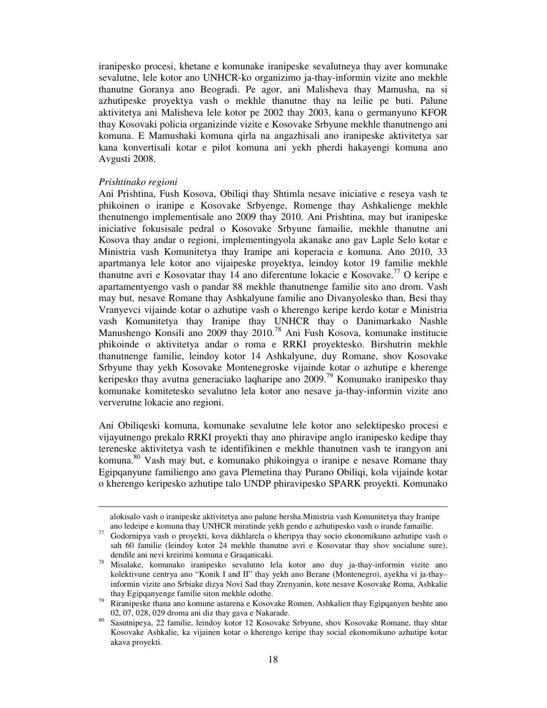iranipesko procesi, khetane e komunake iranipeske sevalutneya thay aver komunake sevalutne, lele kotor ano UNHCR-ko organizimo ja-thay-informin vizite ano mekhle thanutne Goranya ano Beogradi. Pe agor, ani Malisheva thay Mamusha, na si azhutipeske proyektya vash o mekhle thanutne thay na leilie pe buti. Palune aktivitetya ani Malisheva lele kotor pe 2002 thay 2003, kana o germanyuno KFOR thay Kosovaki policia organizinde vizite e Kosovake Srbyune mekhle thanutnengo ani komuna. E Mamushaki komuna qirla na angazhisali ano iranipeske aktivitetya sar kana konvertisali kotar e pilot komuna ani yekh pherdi hakayengi komuna ano Avgusti 2008.

#### *Prishtinako regioni*

-

Ani Prishtina, Fush Kosova, Obiliqi thay Shtimla nesave iniciative e reseya vash te phikoinen o iranipe e Kosovake Srbyenge, Romenge thay Ashkalienge mekhle thenutnengo implementisale ano 2009 thay 2010. Ani Prishtina, may but iranipeske iniciative fokusisale pedral o Kosovake Srbyune famailie, mekhle thanutne ani Kosova thay andar o regioni, implementingyola akanake ano gav Laple Selo kotar e Ministria vash Komunitetya thay Iranipe ani koperacia e komuna. Ano 2010, 33 apartmanya lele kotor ano vijaipeske proyektya, leindoy kotor 19 familie mekhle thanutne avri e Kosovatar thay 14 ano diferentune lokacie e Kosovake.<sup>77</sup> O keripe e apartamentyengo vash o pandar 88 mekhle thanutnenge familie sito ano drom. Vash may but, nesave Romane thay Ashkalyune familie ano Divanyolesko than, Besi thay Vranyevci vijainde kotar o azhutipe vash o kherengo keripe kerdo kotar e Ministria vash Komunitetya thay Iranipe thay UNHCR thay o Danimarkako Nashle Manushengo Konsili ano 2009 thay 2010.<sup>78</sup> Ani Fush Kosova, komunake institucie phikoinde o aktivitetya andar o roma e RRKI proyektesko. Birshutrin mekhle thanutnenge familie, leindoy kotor 14 Ashkalyune, duy Romane, shov Kosovake Srbyune thay yekh Kosovake Montenegroske vijainde kotar o azhutipe e kherenge keripesko thay avutna generaciako laqharipe ano 2009.<sup>79</sup> Komunako iranipesko thay komunake komitetesko sevalutno lela kotor ano nesave ja-thay-informin vizite ano ververutne lokacie ano regioni.

Ani Obiliqeski komuna, komunake sevalutne lele kotor ano selektipesko procesi e vijayutnengo prekalo RRKI proyekti thay ano phiravipe anglo iranipesko kedipe thay tereneske aktivitetya vash te identifikinen e mekhle thanutnen vash te irangyon ani komuna.<sup>80</sup> Vash may but, e komunako phikoingya o iranipe e nesave Romane thay Egipqanyune familiengo ano gava Plemetina thay Purano Obiliqi, kola vijainde kotar o kherengo keripesko azhutipe talo UNDP phiravipesko SPARK proyekti. Komunako

alokisalo vash o iranipeske aktivitetya ano palune bersha.Ministria vash Komunitetya thay Iranipe ano ledeipe e komuna thay UNHCR miratinde yekh gendo e azhutipesko vash o irande famailie.

<sup>77</sup>Godornipya vash o proyekti, kova dikhlarela o kheripya thay socio ekonomikuno azhutipe vash o sah 60 familie (leindoy kotor 24 mekhle thanutne avri e Kosovatar thay shov socialune sure), dendile ani nevi kreirimi komuna e Graqanicaki.

<sup>78</sup>Misalake, komunako iranipesko sevalutno lela kotor ano duy ja-thay-informin vizite ano kolektivune centrya ano "Konik I and II" thay yekh ano Berane (Montenegro), ayekha vi ja-thay– informin vizite ano Srbiake dizya Novi Sad thay Zrenyanin, kote nesave Kosovake Roma, Ashkalie thay Egipqanyenge familie siton mekhle odothe.

<sup>&</sup>lt;sup>79</sup> Riranipeske thana ano komune astarena e Kosovake Romen, Ashkalien thay Egipqanyen beshte ano 02, 07, 028, 029 droma ani diz thay gava e Nakarade.

<sup>80&</sup>lt;br>Sasutnipeya, 22 familie, leindoy kotor 12 Kosovake Srbyune, shov Kosovake Romane, thay shtar Kosovake Ashkalie, ka vijainen kotar o kherengo keripe thay social ekonomikuno azhutipe kotar akava proyekti.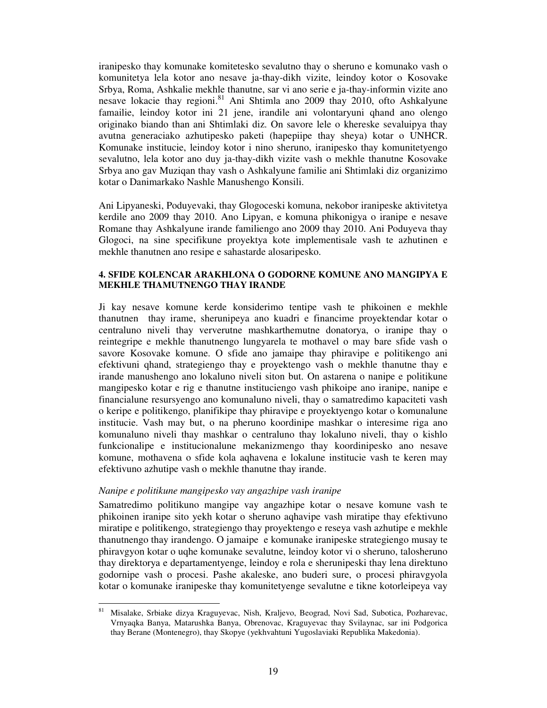iranipesko thay komunake komitetesko sevalutno thay o sheruno e komunako vash o komunitetya lela kotor ano nesave ja-thay-dikh vizite, leindoy kotor o Kosovake Srbya, Roma, Ashkalie mekhle thanutne, sar vi ano serie e ja-thay-informin vizite ano nesave lokacie thay regioni.<sup>81</sup> Ani Shtimla ano 2009 thay 2010, ofto Ashkalyune famailie, leindoy kotor ini 21 jene, irandile ani volontaryuni qhand ano olengo originako biando than ani Shtimlaki diz. On savore lele o khereske sevaluipya thay avutna generaciako azhutipesko paketi (hapepiipe thay sheya) kotar o UNHCR. Komunake institucie, leindoy kotor i nino sheruno, iranipesko thay komunitetyengo sevalutno, lela kotor ano duy ja-thay-dikh vizite vash o mekhle thanutne Kosovake Srbya ano gav Muziqan thay vash o Ashkalyune familie ani Shtimlaki diz organizimo kotar o Danimarkako Nashle Manushengo Konsili.

Ani Lipyaneski, Poduyevaki, thay Glogoceski komuna, nekobor iranipeske aktivitetya kerdile ano 2009 thay 2010. Ano Lipyan, e komuna phikonigya o iranipe e nesave Romane thay Ashkalyune irande familiengo ano 2009 thay 2010. Ani Poduyeva thay Glogoci, na sine specifikune proyektya kote implementisale vash te azhutinen e mekhle thanutnen ano resipe e sahastarde alosaripesko.

#### **4. SFIDE KOLENCAR ARAKHLONA O GODORNE KOMUNE ANO MANGIPYA E MEKHLE THAMUTNENGO THAY IRANDE**

Ji kay nesave komune kerde konsiderimo tentipe vash te phikoinen e mekhle thanutnen thay irame, sherunipeya ano kuadri e financime proyektendar kotar o centraluno niveli thay ververutne mashkarthemutne donatorya, o iranipe thay o reintegripe e mekhle thanutnengo lungyarela te mothavel o may bare sfide vash o savore Kosovake komune. O sfide ano jamaipe thay phiravipe e politikengo ani efektivuni qhand, strategiengo thay e proyektengo vash o mekhle thanutne thay e irande manushengo ano lokaluno niveli siton but. On astarena o nanipe e politikune mangipesko kotar e rig e thanutne instituciengo vash phikoipe ano iranipe, nanipe e financialune resursyengo ano komunaluno niveli, thay o samatredimo kapaciteti vash o keripe e politikengo, planifikipe thay phiravipe e proyektyengo kotar o komunalune institucie. Vash may but, o na pheruno koordinipe mashkar o interesime riga ano komunaluno niveli thay mashkar o centraluno thay lokaluno niveli, thay o kishlo funkcionalipe e institucionalune mekanizmengo thay koordinipesko ano nesave komune, mothavena o sfide kola aqhavena e lokalune institucie vash te keren may efektivuno azhutipe vash o mekhle thanutne thay irande.

#### *Nanipe e politikune mangipesko vay angazhipe vash iranipe*

Samatredimo politikuno mangipe vay angazhipe kotar o nesave komune vash te phikoinen iranipe sito yekh kotar o sheruno aqhavipe vash miratipe thay efektivuno miratipe e politikengo, strategiengo thay proyektengo e reseya vash azhutipe e mekhle thanutnengo thay irandengo. O jamaipe e komunake iranipeske strategiengo musay te phiravgyon kotar o uqhe komunake sevalutne, leindoy kotor vi o sheruno, talosheruno thay direktorya e departamentyenge, leindoy e rola e sherunipeski thay lena direktuno godornipe vash o procesi. Pashe akaleske, ano buderi sure, o procesi phiravgyola kotar o komunake iranipeske thay komunitetyenge sevalutne e tikne kotorleipeya vay

 $8\sqrt{1}$ <sup>81</sup>Misalake, Srbiake dizya Kraguyevac, Nish, Kraljevo, Beograd, Novi Sad, Subotica, Pozharevac, Vrnyaqka Banya, Matarushka Banya, Obrenovac, Kraguyevac thay Svilaynac, sar ini Podgorica thay Berane (Montenegro), thay Skopye (yekhvahtuni Yugoslaviaki Republika Makedonia).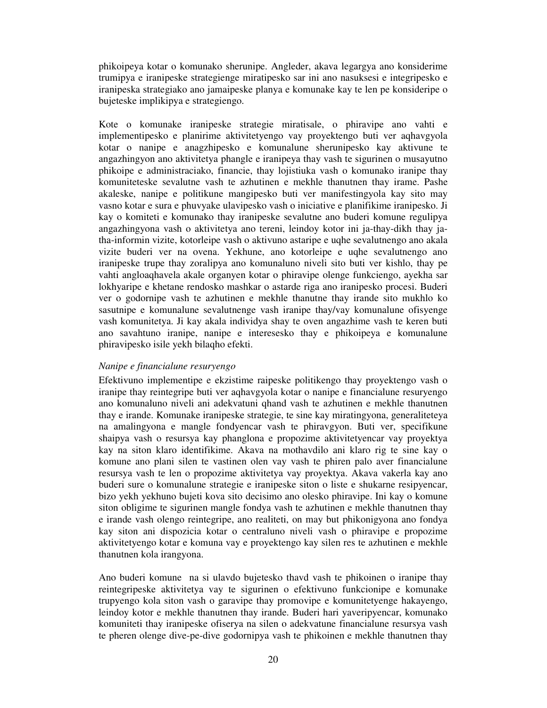phikoipeya kotar o komunako sherunipe. Angleder, akava legargya ano konsiderime trumipya e iranipeske strategienge miratipesko sar ini ano nasuksesi e integripesko e iranipeska strategiako ano jamaipeske planya e komunake kay te len pe konsideripe o bujeteske implikipya e strategiengo.

Kote o komunake iranipeske strategie miratisale, o phiravipe ano vahti e implementipesko e planirime aktivitetyengo vay proyektengo buti ver aqhavgyola kotar o nanipe e anagzhipesko e komunalune sherunipesko kay aktivune te angazhingyon ano aktivitetya phangle e iranipeya thay vash te sigurinen o musayutno phikoipe e administraciako, financie, thay lojistiuka vash o komunako iranipe thay komuniteteske sevalutne vash te azhutinen e mekhle thanutnen thay irame. Pashe akaleske, nanipe e politikune mangipesko buti ver manifestingyola kay sito may vasno kotar e sura e phuvyake ulavipesko vash o iniciative e planifikime iranipesko. Ji kay o komiteti e komunako thay iranipeske sevalutne ano buderi komune regulipya angazhingyona vash o aktivitetya ano tereni, leindoy kotor ini ja-thay-dikh thay jatha-informin vizite, kotorleipe vash o aktivuno astaripe e uqhe sevalutnengo ano akala vizite buderi ver na ovena. Yekhune, ano kotorleipe e uqhe sevalutnengo ano iranipeske trupe thay zoralipya ano komunaluno niveli sito buti ver kishlo, thay pe vahti angloaqhavela akale organyen kotar o phiravipe olenge funkciengo, ayekha sar lokhyaripe e khetane rendosko mashkar o astarde riga ano iranipesko procesi. Buderi ver o godornipe vash te azhutinen e mekhle thanutne thay irande sito mukhlo ko sasutnipe e komunalune sevalutnenge vash iranipe thay/vay komunalune ofisyenge vash komunitetya. Ji kay akala individya shay te oven angazhime vash te keren buti ano savahtuno iranipe, nanipe e interesesko thay e phikoipeya e komunalune phiravipesko isile yekh bilaqho efekti.

# *Nanipe e financialune resuryengo*

Efektivuno implementipe e ekzistime raipeske politikengo thay proyektengo vash o iranipe thay reintegripe buti ver aqhavgyola kotar o nanipe e financialune resuryengo ano komunaluno niveli ani adekvatuni qhand vash te azhutinen e mekhle thanutnen thay e irande. Komunake iranipeske strategie, te sine kay miratingyona, generaliteteya na amalingyona e mangle fondyencar vash te phiravgyon. Buti ver, specifikune shaipya vash o resursya kay phanglona e propozime aktivitetyencar vay proyektya kay na siton klaro identifikime. Akava na mothavdilo ani klaro rig te sine kay o komune ano plani silen te vastinen olen vay vash te phiren palo aver financialune resursya vash te len o propozime aktivitetya vay proyektya. Akava vakerla kay ano buderi sure o komunalune strategie e iranipeske siton o liste e shukarne resipyencar, bizo yekh yekhuno bujeti kova sito decisimo ano olesko phiravipe. Ini kay o komune siton obligime te sigurinen mangle fondya vash te azhutinen e mekhle thanutnen thay e irande vash olengo reintegripe, ano realiteti, on may but phikonigyona ano fondya kay siton ani dispozicia kotar o centraluno niveli vash o phiravipe e propozime aktivitetyengo kotar e komuna vay e proyektengo kay silen res te azhutinen e mekhle thanutnen kola irangyona.

Ano buderi komune na si ulavdo bujetesko thavd vash te phikoinen o iranipe thay reintegripeske aktivitetya vay te sigurinen o efektivuno funkcionipe e komunake trupyengo kola siton vash o garavipe thay promovipe e komunitetyenge hakayengo, leindoy kotor e mekhle thanutnen thay irande. Buderi hari yaveripyencar, komunako komuniteti thay iranipeske ofiserya na silen o adekvatune financialune resursya vash te pheren olenge dive-pe-dive godornipya vash te phikoinen e mekhle thanutnen thay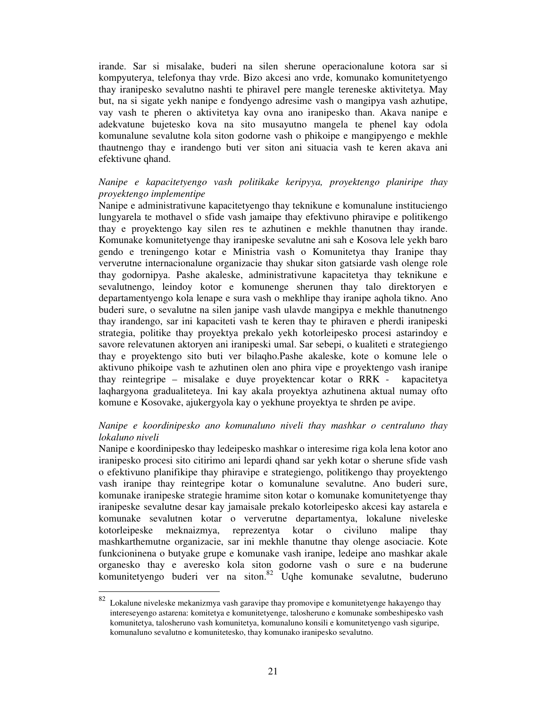irande. Sar si misalake, buderi na silen sherune operacionalune kotora sar si kompyuterya, telefonya thay vrde. Bizo akcesi ano vrde, komunako komunitetyengo thay iranipesko sevalutno nashti te phiravel pere mangle tereneske aktivitetya. May but, na si sigate yekh nanipe e fondyengo adresime vash o mangipya vash azhutipe, vay vash te pheren o aktivitetya kay ovna ano iranipesko than. Akava nanipe e adekvatune bujetesko kova na sito musayutno mangela te phenel kay odola komunalune sevalutne kola siton godorne vash o phikoipe e mangipyengo e mekhle thautnengo thay e irandengo buti ver siton ani situacia vash te keren akava ani efektivune qhand.

# *Nanipe e kapacitetyengo vash politikake keripyya, proyektengo planiripe thay proyektengo implementipe*

Nanipe e administrativune kapacitetyengo thay teknikune e komunalune instituciengo lungyarela te mothavel o sfide vash jamaipe thay efektivuno phiravipe e politikengo thay e proyektengo kay silen res te azhutinen e mekhle thanutnen thay irande. Komunake komunitetyenge thay iranipeske sevalutne ani sah e Kosova lele yekh baro gendo e treningengo kotar e Ministria vash o Komunitetya thay Iranipe thay ververutne internacionalune organizacie thay shukar siton gatsiarde vash olenge role thay godornipya. Pashe akaleske, administrativune kapacitetya thay teknikune e sevalutnengo, leindoy kotor e komunenge sherunen thay talo direktoryen e departamentyengo kola lenape e sura vash o mekhlipe thay iranipe aqhola tikno. Ano buderi sure, o sevalutne na silen janipe vash ulavde mangipya e mekhle thanutnengo thay irandengo, sar ini kapaciteti vash te keren thay te phiraven e pherdi iranipeski strategia, politike thay proyektya prekalo yekh kotorleipesko procesi astarindoy e savore relevatunen aktoryen ani iranipeski umal. Sar sebepi, o kualiteti e strategiengo thay e proyektengo sito buti ver bilaqho.Pashe akaleske, kote o komune lele o aktivuno phikoipe vash te azhutinen olen ano phira vipe e proyektengo vash iranipe thay reintegripe – misalake e duye proyektencar kotar o RRK - kapacitetya laqhargyona gradualiteteya. Ini kay akala proyektya azhutinena aktual numay ofto komune e Kosovake, ajukergyola kay o yekhune proyektya te shrden pe avipe.

# *Nanipe e koordinipesko ano komunaluno niveli thay mashkar o centraluno thay lokaluno niveli*

Nanipe e koordinipesko thay ledeipesko mashkar o interesime riga kola lena kotor ano iranipesko procesi sito citirimo ani lepardi qhand sar yekh kotar o sherune sfide vash o efektivuno planifikipe thay phiravipe e strategiengo, politikengo thay proyektengo vash iranipe thay reintegripe kotar o komunalune sevalutne. Ano buderi sure, komunake iranipeske strategie hramime siton kotar o komunake komunitetyenge thay iranipeske sevalutne desar kay jamaisale prekalo kotorleipesko akcesi kay astarela e komunake sevalutnen kotar o ververutne departamentya, lokalune niveleske kotorleipeske meknaizmya, reprezentya kotar o civiluno malipe thay mashkarthemutne organizacie, sar ini mekhle thanutne thay olenge asociacie. Kote funkcioninena o butyake grupe e komunake vash iranipe, ledeipe ano mashkar akale organesko thay e averesko kola siton godorne vash o sure e na buderune komunitetyengo buderi ver na siton.<sup>82</sup> Uqhe komunake sevalutne, buderuno

 $\frac{1}{82}$  Lokalune niveleske mekanizmya vash garavipe thay promovipe e komunitetyenge hakayengo thay intereseyengo astarena: komitetya e komunitetyenge, talosheruno e komunake sombeshipesko vash komunitetya, talosheruno vash komunitetya, komunaluno konsili e komunitetyengo vash siguripe, komunaluno sevalutno e komunitetesko, thay komunako iranipesko sevalutno.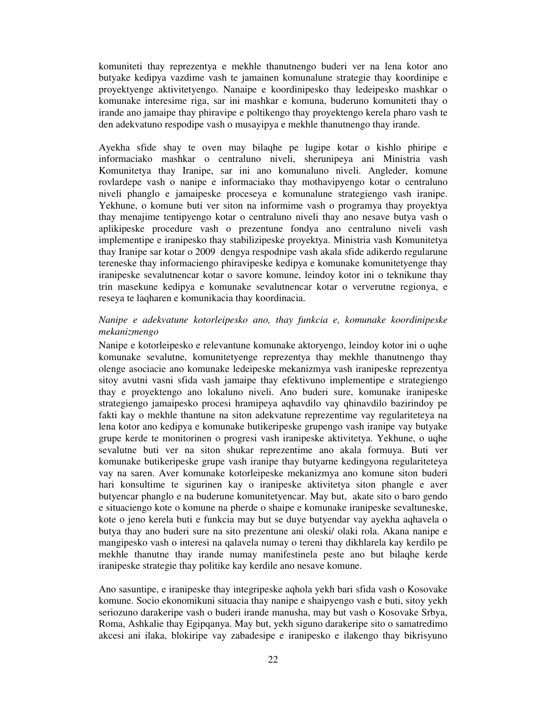komuniteti thay reprezentya e mekhle thanutnengo buderi ver na lena kotor ano butyake kedipya vazdime vash te jamainen komunalune strategie thay koordinipe e proyektyenge aktivitetyengo. Nanaipe e koordinipesko thay ledeipesko mashkar o komunake interesime riga, sar ini mashkar e komuna, buderuno komuniteti thay o irande ano jamaipe thay phiravipe e poltikengo thay proyektengo kerela pharo vash te den adekvatuno respodipe vash o musayipya e mekhle thanutnengo thay irande.

Ayekha sfide shay te oven may bilaqhe pe lugipe kotar o kishlo phiripe e informaciako mashkar o centraluno niveli, sherunipeya ani Ministria vash Komunitetya thay Iranipe, sar ini ano komunaluno niveli. Angleder, komune rovlardepe vash o nanipe e informaciako thay mothavipyengo kotar o centraluno niveli phanglo e jamaipeske proceseya e komunalune strategiengo vash iranipe. Yekhune, o komune buti ver siton na informime vash o programya thay proyektya thay menajime tentipyengo kotar o centraluno niveli thay ano nesave butya vash o aplikipeske procedure vash o prezentune fondya ano centraluno niveli vash implementipe e iranipesko thay stabilizipeske proyektya. Ministria vash Komunitetya thay Iranipe sar kotar o 2009 dengya respodnipe vash akala sfide adikerdo regularune tereneske thay informaciengo phiravipeske kedipya e komunake komunitetyenge thay iranipeske sevalutnencar kotar o savore komune, leindoy kotor ini o teknikune thay trin masekune kedipya e komunake sevalutnencar kotar o ververutne regionya, e reseya te laqharen e komunikacia thay koordinacia.

# *Nanipe e adekvatune kotorleipesko ano, thay funkcia e, komunake koordinipeske mekanizmengo*

Nanipe e kotorleipesko e relevantune komunake aktoryengo, leindoy kotor ini o uqhe komunake sevalutne, komunitetyenge reprezentya thay mekhle thanutnengo thay olenge asociacie ano komunake ledeipeske mekanizmya vash iranipeske reprezentya sitoy avutni vasni sfida vash jamaipe thay efektivuno implementipe e strategiengo thay e proyektengo ano lokaluno niveli. Ano buderi sure, komunake iranipeske strategiengo jamaipesko procesi hramipeya aqhavdilo vay qhinavdilo bazirindoy pe fakti kay o mekhle thantune na siton adekvatune reprezentime vay regulariteteya na lena kotor ano kedipya e komunake butikeripeske grupengo vash iranipe vay butyake grupe kerde te monitorinen o progresi vash iranipeske aktivitetya. Yekhune, o uqhe sevalutne buti ver na siton shukar reprezentime ano akala formuya. Buti ver komunake butikeripeske grupe vash iranipe thay butyarne kedingyona regulariteteya vay na saren. Aver komunake kotorleipeske mekanizmya ano komune siton buderi hari konsultime te sigurinen kay o iranipeske aktivitetya siton phangle e aver butyencar phanglo e na buderune komunitetyencar. May but, akate sito o baro gendo e situaciengo kote o komune na pherde o shaipe e komunake iranipeske sevaltuneske, kote o jeno kerela buti e funkcia may but se duye butyendar vay ayekha aqhavela o butya thay ano buderi sure na sito prezentune ani oleski/ olaki rola. Akana nanipe e mangipesko vash o interesi na qalavela numay o tereni thay dikhlarela kay kerdilo pe mekhle thanutne thay irande numay manifestinela peste ano but bilaqhe kerde iranipeske strategie thay politike kay kerdile ano nesave komune.

Ano sasuntipe, e iranipeske thay integripeske aqhola yekh bari sfida vash o Kosovake komune. Socio ekonomikuni situacia thay nanipe e shaipyengo vash e buti, sitoy yekh seriozuno darakeripe vash o buderi irande manusha, may but vash o Kosovake Srbya, Roma, Ashkalie thay Egipqanya. May but, yekh siguno darakeripe sito o samatredimo akcesi ani ilaka, blokiripe vay zabadesipe e iranipesko e ilakengo thay bikrisyuno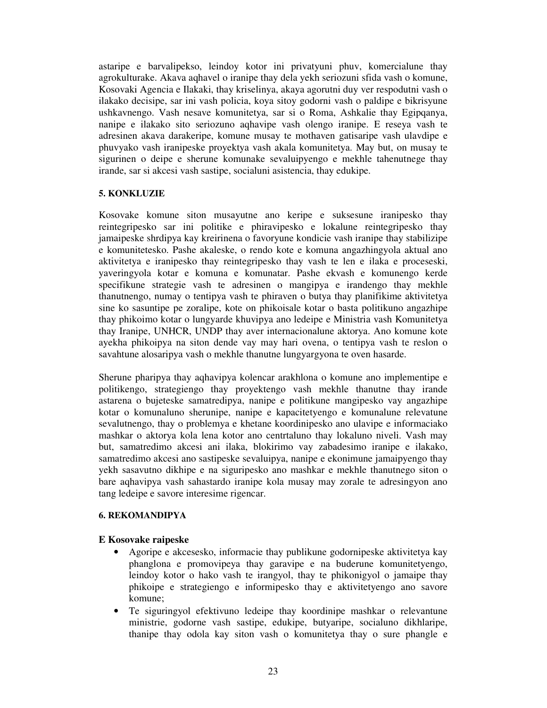astaripe e barvalipekso, leindoy kotor ini privatyuni phuv, komercialune thay agrokulturake. Akava aqhavel o iranipe thay dela yekh seriozuni sfida vash o komune, Kosovaki Agencia e Ilakaki, thay kriselinya, akaya agorutni duy ver respodutni vash o ilakako decisipe, sar ini vash policia, koya sitoy godorni vash o paldipe e bikrisyune ushkavnengo. Vash nesave komunitetya, sar si o Roma, Ashkalie thay Egipqanya, nanipe e ilakako sito seriozuno aqhavipe vash olengo iranipe. E reseya vash te adresinen akava darakeripe, komune musay te mothaven gatisaripe vash ulavdipe e phuvyako vash iranipeske proyektya vash akala komunitetya. May but, on musay te sigurinen o deipe e sherune komunake sevaluipyengo e mekhle tahenutnege thay irande, sar si akcesi vash sastipe, socialuni asistencia, thay edukipe.

# **5. KONKLUZIE**

Kosovake komune siton musayutne ano keripe e suksesune iranipesko thay reintegripesko sar ini politike e phiravipesko e lokalune reintegripesko thay jamaipeske shrdipya kay kreirinena o favoryune kondicie vash iranipe thay stabilizipe e komunitetesko. Pashe akaleske, o rendo kote e komuna angazhingyola aktual ano aktivitetya e iranipesko thay reintegripesko thay vash te len e ilaka e proceseski, yaveringyola kotar e komuna e komunatar. Pashe ekvash e komunengo kerde specifikune strategie vash te adresinen o mangipya e irandengo thay mekhle thanutnengo, numay o tentipya vash te phiraven o butya thay planifikime aktivitetya sine ko sasuntipe pe zoralipe, kote on phikoisale kotar o basta politikuno angazhipe thay phikoimo kotar o lungyarde khuvipya ano ledeipe e Ministria vash Komunitetya thay Iranipe, UNHCR, UNDP thay aver internacionalune aktorya. Ano komune kote ayekha phikoipya na siton dende vay may hari ovena, o tentipya vash te reslon o savahtune alosaripya vash o mekhle thanutne lungyargyona te oven hasarde.

Sherune pharipya thay aqhavipya kolencar arakhlona o komune ano implementipe e politikengo, strategiengo thay proyektengo vash mekhle thanutne thay irande astarena o bujeteske samatredipya, nanipe e politikune mangipesko vay angazhipe kotar o komunaluno sherunipe, nanipe e kapacitetyengo e komunalune relevatune sevalutnengo, thay o problemya e khetane koordinipesko ano ulavipe e informaciako mashkar o aktorya kola lena kotor ano centrtaluno thay lokaluno niveli. Vash may but, samatredimo akcesi ani ilaka, blokirimo vay zabadesimo iranipe e ilakako, samatredimo akcesi ano sastipeske sevaluipya, nanipe e ekonimune jamaipyengo thay yekh sasavutno dikhipe e na siguripesko ano mashkar e mekhle thanutnego siton o bare aqhavipya vash sahastardo iranipe kola musay may zorale te adresingyon ano tang ledeipe e savore interesime rigencar.

# **6. REKOMANDIPYA**

# **E Kosovake raipeske**

- Agoripe e akcesesko, informacie thay publikune godornipeske aktivitetya kay phanglona e promovipeya thay garavipe e na buderune komunitetyengo, leindoy kotor o hako vash te irangyol, thay te phikonigyol o jamaipe thay phikoipe e strategiengo e informipesko thay e aktivitetyengo ano savore komune;
- Te siguringyol efektivuno ledeipe thay koordinipe mashkar o relevantune ministrie, godorne vash sastipe, edukipe, butyaripe, socialuno dikhlaripe, thanipe thay odola kay siton vash o komunitetya thay o sure phangle e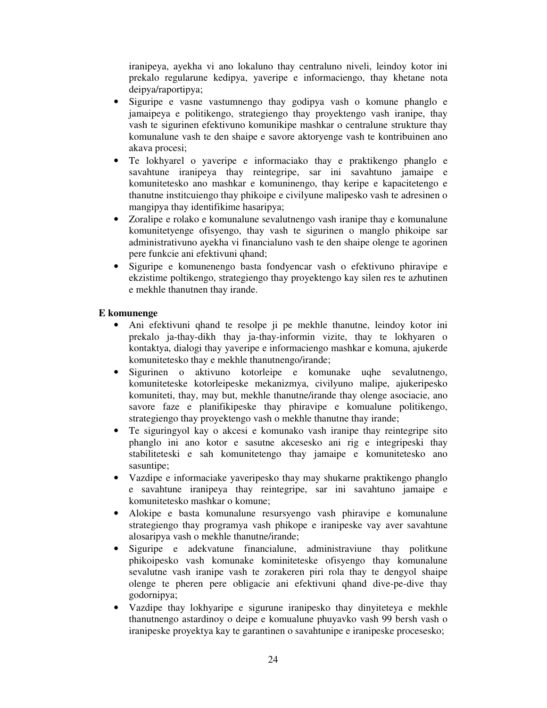iranipeya, ayekha vi ano lokaluno thay centraluno niveli, leindoy kotor ini prekalo regularune kedipya, yaveripe e informaciengo, thay khetane nota deipya/raportipya;

- Siguripe e vasne vastumnengo thay godipya vash o komune phanglo e jamaipeya e politikengo, strategiengo thay proyektengo vash iranipe, thay vash te sigurinen efektivuno komunikipe mashkar o centralune strukture thay komunalune vash te den shaipe e savore aktoryenge vash te kontribuinen ano akava procesi;
- Te lokhyarel o yaveripe e informaciako thay e praktikengo phanglo e savahtune iranipeya thay reintegripe, sar ini savahtuno jamaipe e komunitetesko ano mashkar e komuninengo, thay keripe e kapacitetengo e thanutne institcuiengo thay phikoipe e civilyune malipesko vash te adresinen o mangipya thay identifikime hasaripya;
- Zoralipe e rolako e komunalune sevalutnengo vash iranipe thay e komunalune komunitetyenge ofisyengo, thay vash te sigurinen o manglo phikoipe sar administrativuno ayekha vi financialuno vash te den shaipe olenge te agorinen pere funkcie ani efektivuni qhand;
- Siguripe e komunenengo basta fondyencar vash o efektivuno phiravipe e ekzistime poltikengo, strategiengo thay proyektengo kay silen res te azhutinen e mekhle thanutnen thay irande.

# **E komunenge**

- Ani efektivuni qhand te resolpe ji pe mekhle thanutne, leindoy kotor ini prekalo ja-thay-dikh thay ja-thay-informin vizite, thay te lokhyaren o kontaktya, dialogi thay yaveripe e informaciengo mashkar e komuna, ajukerde komunitetesko thay e mekhle thanutnengo/irande;
- Sigurinen o aktivuno kotorleipe e komunake uqhe sevalutnengo, komuniteteske kotorleipeske mekanizmya, civilyuno malipe, ajukeripesko komuniteti, thay, may but, mekhle thanutne/irande thay olenge asociacie, ano savore faze e planifikipeske thay phiravipe e komualune politikengo, strategiengo thay proyektengo vash o mekhle thanutne thay irande;
- Te siguringyol kay o akcesi e komunako vash iranipe thay reintegripe sito phanglo ini ano kotor e sasutne akcesesko ani rig e integripeski thay stabiliteteski e sah komunitetengo thay jamaipe e komunitetesko ano sasuntipe;
- Vazdipe e informaciake yaveripesko thay may shukarne praktikengo phanglo e savahtune iranipeya thay reintegripe, sar ini savahtuno jamaipe e komunitetesko mashkar o komune;
- Alokipe e basta komunalune resursyengo vash phiravipe e komunalune strategiengo thay programya vash phikope e iranipeske vay aver savahtune alosaripya vash o mekhle thanutne/irande;
- Siguripe e adekvatune financialune, administraviune thay politkune phikoipesko vash komunake kominiteteske ofisyengo thay komunalune sevalutne vash iranipe vash te zorakeren piri rola thay te dengyol shaipe olenge te pheren pere obligacie ani efektivuni qhand dive-pe-dive thay godornipya;
- Vazdipe thay lokhyaripe e sigurune iranipesko thay dinyiteteya e mekhle thanutnengo astardinoy o deipe e komualune phuyavko vash 99 bersh vash o iranipeske proyektya kay te garantinen o savahtunipe e iranipeske procesesko;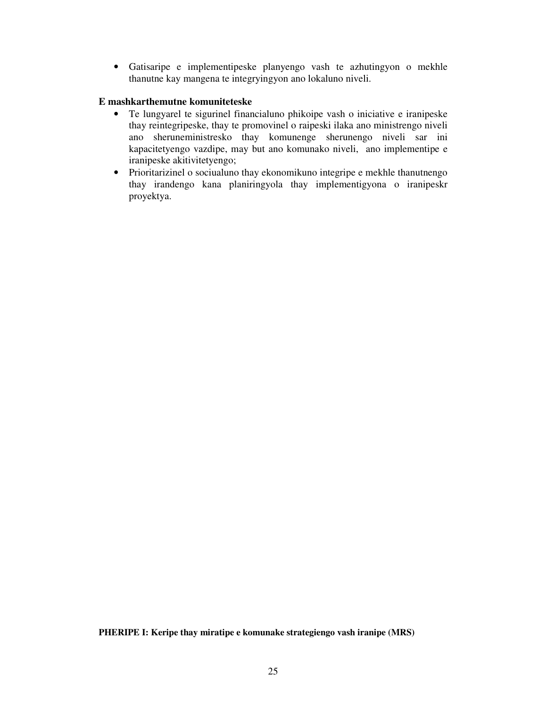• Gatisaripe e implementipeske planyengo vash te azhutingyon o mekhle thanutne kay mangena te integryingyon ano lokaluno niveli.

# **E mashkarthemutne komuniteteske**

- Te lungyarel te sigurinel financialuno phikoipe vash o iniciative e iranipeske thay reintegripeske, thay te promovinel o raipeski ilaka ano ministrengo niveli ano sheruneministresko thay komunenge sherunengo niveli sar ini kapacitetyengo vazdipe, may but ano komunako niveli, ano implementipe e iranipeske akitivitetyengo;
- Prioritarizinel o sociualuno thay ekonomikuno integripe e mekhle thanutnengo thay irandengo kana planiringyola thay implementigyona o iranipeskr proyektya.

**PHERIPE I: Keripe thay miratipe e komunake strategiengo vash iranipe (MRS)**